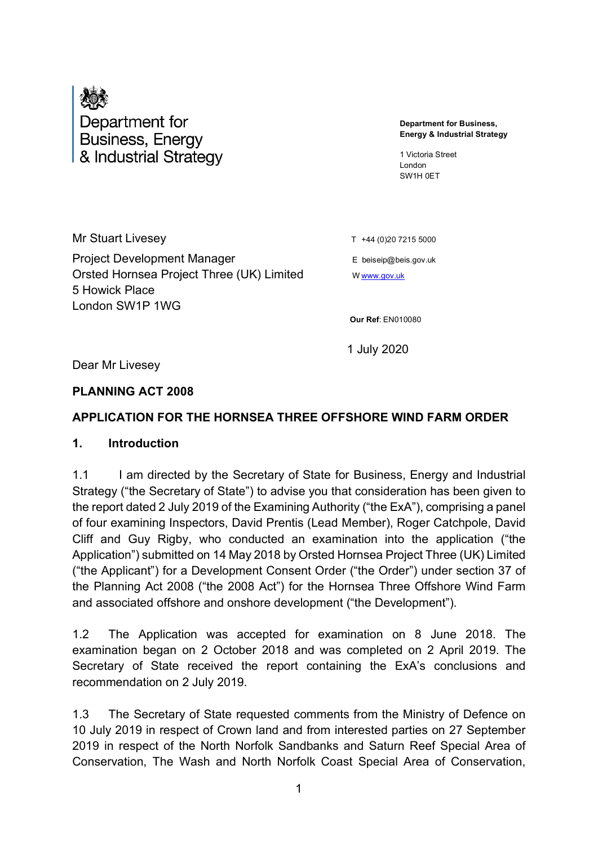

# Department for **Business, Energy** & Industrial Strategy

**Department for Business, Energy & Industrial Strategy**

1 Victoria Street London SW1H 0ET

Mr Stuart Livesey  $T +44 (0)20 7215 5000$ Project Development Manager **Example 20** E beiseip@beis.gov.uk Orsted Hornsea Project Three (UK) Limited W W WWW.gov.uk 5 Howick Place London SW1P 1WG

**Our Ref**: EN010080

1 July 2020

Dear Mr Livesey

#### **PLANNING ACT 2008**

#### **APPLICATION FOR THE HORNSEA THREE OFFSHORE WIND FARM ORDER**

#### **1. Introduction**

1.1 I am directed by the Secretary of State for Business, Energy and Industrial Strategy ("the Secretary of State") to advise you that consideration has been given to the report dated 2 July 2019 of the Examining Authority ("the ExA"), comprising a panel of four examining Inspectors, David Prentis (Lead Member), Roger Catchpole, David Cliff and Guy Rigby, who conducted an examination into the application ("the Application") submitted on 14 May 2018 by Orsted Hornsea Project Three (UK) Limited ("the Applicant") for a Development Consent Order ("the Order") under section 37 of the Planning Act 2008 ("the 2008 Act") for the Hornsea Three Offshore Wind Farm and associated offshore and onshore development ("the Development").

1.2 The Application was accepted for examination on 8 June 2018. The examination began on 2 October 2018 and was completed on 2 April 2019. The Secretary of State received the report containing the ExA's conclusions and recommendation on 2 July 2019.

1.3 The Secretary of State requested comments from the Ministry of Defence on 10 July 2019 in respect of Crown land and from interested parties on 27 September 2019 in respect of [the North Norfolk Sandbanks and Saturn Reef Special Area of](https://infrastructure.planninginspectorate.gov.uk/projects/eastern/hornsea-project-three-offshore-wind-farm/?ipcsection=docs&stage=6&filter1=Secretary+of+State+Consultation+2)  [Conservation, The Wash and North Norfolk Coast Special Area of Conservation,](https://infrastructure.planninginspectorate.gov.uk/projects/eastern/hornsea-project-three-offshore-wind-farm/?ipcsection=docs&stage=6&filter1=Secretary+of+State+Consultation+2)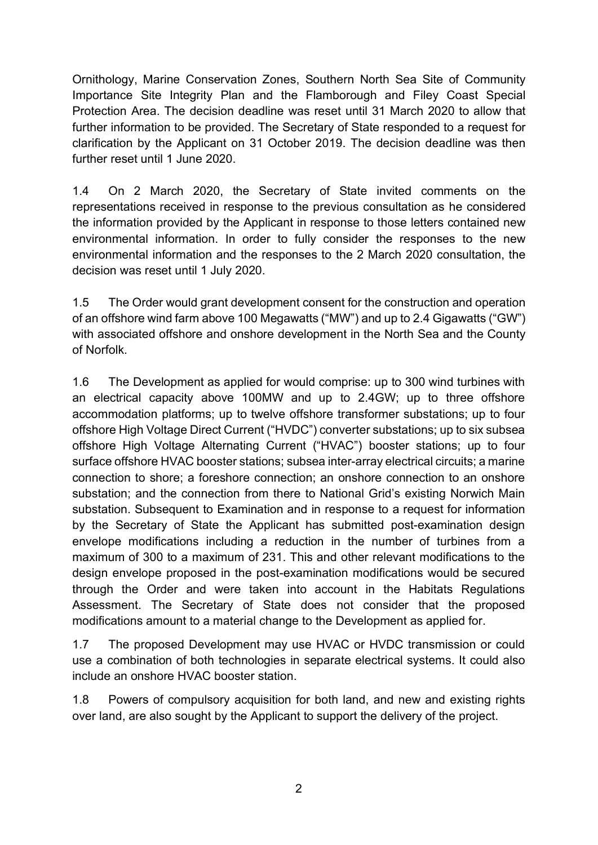[Ornithology, Marine Conservation Zones, Southern North Sea Site of Community](https://infrastructure.planninginspectorate.gov.uk/projects/eastern/hornsea-project-three-offshore-wind-farm/?ipcsection=docs&stage=6&filter1=Secretary+of+State+Consultation+2)  [Importance Site Integrity Plan](https://infrastructure.planninginspectorate.gov.uk/projects/eastern/hornsea-project-three-offshore-wind-farm/?ipcsection=docs&stage=6&filter1=Secretary+of+State+Consultation+2) and the Flamborough and Filey Coast Special Protection Area. The decision deadline was reset until 31 March 2020 to allow that further information to be provided. The Secretary of State responded to a request for clarification by the Applicant on 31 October 2019. The decision deadline was then further reset until 1 June 2020.

1.4 On 2 March 2020, the Secretary of State invited comments on the representations received in response to the previous consultation as he considered the information provided by the Applicant in response to those letters contained new environmental information. In order to fully consider the responses to the new environmental information and the responses to the 2 March 2020 consultation, the decision was reset until 1 July 2020.

1.5 The Order would grant development consent for the construction and operation of an offshore wind farm above 100 Megawatts ("MW") and up to 2.4 Gigawatts ("GW") with associated offshore and onshore development in the North Sea and the County of Norfolk.

1.6 The Development as applied for would comprise: up to 300 wind turbines with an electrical capacity above 100MW and up to 2.4GW; up to three offshore accommodation platforms; up to twelve offshore transformer substations; up to four offshore High Voltage Direct Current ("HVDC") converter substations; up to six subsea offshore High Voltage Alternating Current ("HVAC") booster stations; up to four surface offshore HVAC booster stations; subsea inter-array electrical circuits; a marine connection to shore; a foreshore connection; an onshore connection to an onshore substation; and the connection from there to National Grid's existing Norwich Main substation. Subsequent to Examination and in response to a request for information by the Secretary of State the Applicant has submitted post-examination design envelope modifications including a reduction in the number of turbines from a maximum of 300 to a maximum of 231. This and other relevant modifications to the design envelope proposed in the post-examination modifications would be secured through the Order and were taken into account in the Habitats Regulations Assessment. The Secretary of State does not consider that the proposed modifications amount to a material change to the Development as applied for.

1.7 The proposed Development may use HVAC or HVDC transmission or could use a combination of both technologies in separate electrical systems. It could also include an onshore HVAC booster station.

1.8 Powers of compulsory acquisition for both land, and new and existing rights over land, are also sought by the Applicant to support the delivery of the project.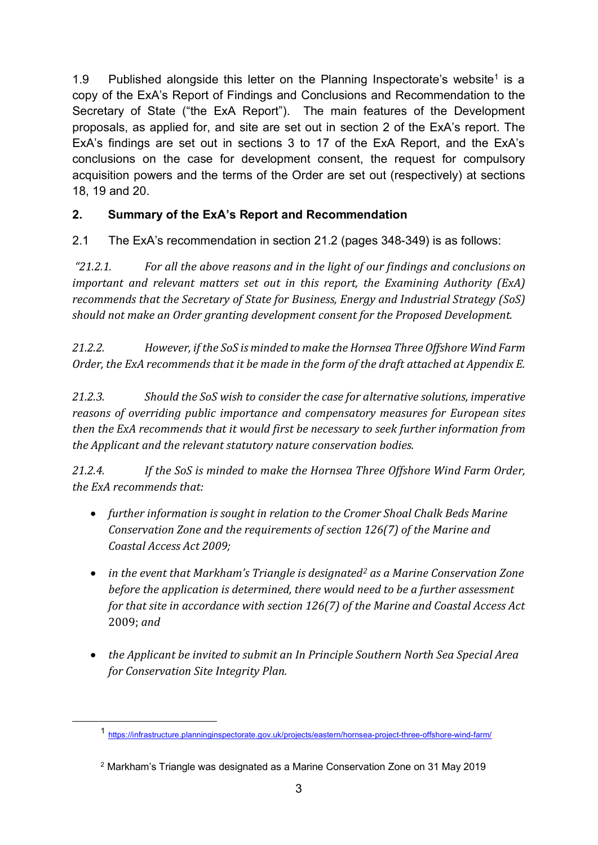[1](#page-2-0).9 Published alongside this letter on the Planning Inspectorate's website<sup>1</sup> is a copy of the ExA's Report of Findings and Conclusions and Recommendation to the Secretary of State ("the ExA Report"). The main features of the Development proposals, as applied for, and site are set out in section 2 of the ExA's report. The ExA's findings are set out in sections 3 to 17 of the ExA Report, and the ExA's conclusions on the case for development consent, the request for compulsory acquisition powers and the terms of the Order are set out (respectively) at sections 18, 19 and 20.

### **2. Summary of the ExA's Report and Recommendation**

2.1 The ExA's recommendation in section 21.2 (pages 348-349) is as follows:

*"21.2.1. For all the above reasons and in the light of our findings and conclusions on important and relevant matters set out in this report, the Examining Authority (ExA) recommends that the Secretary of State for Business, Energy and Industrial Strategy (SoS) should not make an Order granting development consent for the Proposed Development.* 

*21.2.2. However, if the SoS is minded to make the Hornsea Three Offshore Wind Farm Order, the ExA recommends that it be made in the form of the draft attached at Appendix E.*

*21.2.3. Should the SoS wish to consider the case for alternative solutions, imperative reasons of overriding public importance and compensatory measures for European sites then the ExA recommends that it would first be necessary to seek further information from the Applicant and the relevant statutory nature conservation bodies.* 

*21.2.4. If the SoS is minded to make the Hornsea Three Offshore Wind Farm Order, the ExA recommends that:* 

- *further information is sought in relation to the Cromer Shoal Chalk Beds Marine Conservation Zone and the requirements of section 126(7) of the Marine and Coastal Access Act 2009;*
- *in the event that Markham's Triangle is designated[2](#page-2-1) as a Marine Conservation Zone before the application is determined, there would need to be a further assessment for that site in accordance with section 126(7) of the Marine and Coastal Access Act*  2009; *and*
- *the Applicant be invited to submit an In Principle Southern North Sea Special Area for Conservation Site Integrity Plan.*

<span id="page-2-0"></span><sup>1</sup> <https://infrastructure.planninginspectorate.gov.uk/projects/eastern/hornsea-project-three-offshore-wind-farm/>

<span id="page-2-1"></span><sup>2</sup> Markham's Triangle was designated as a Marine Conservation Zone on 31 May 2019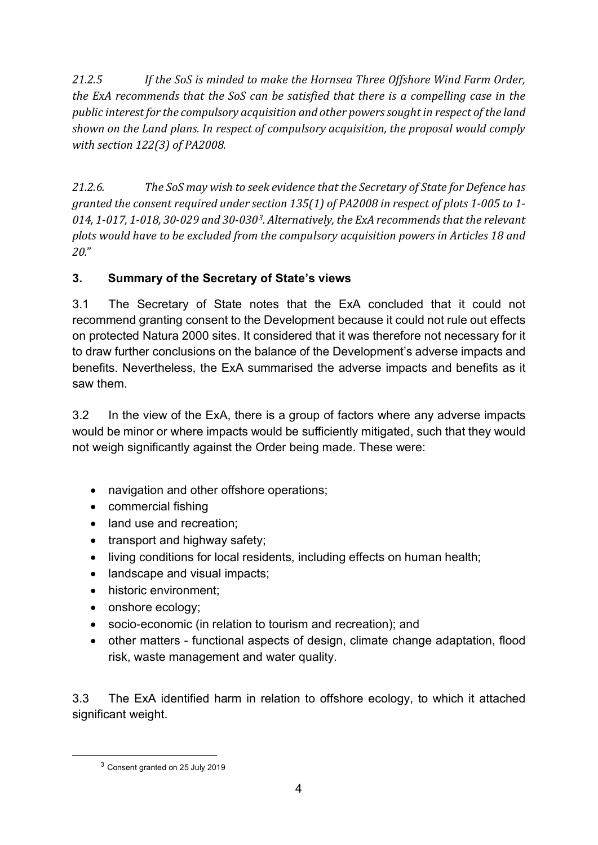*21.2.5 If the SoS is minded to make the Hornsea Three Offshore Wind Farm Order, the ExA recommends that the SoS can be satisfied that there is a compelling case in the public interest for the compulsory acquisition and other powers sought in respect of the land shown on the Land plans. In respect of compulsory acquisition, the proposal would comply with section 122(3) of PA2008.* 

*21.2.6. The SoS may wish to seek evidence that the Secretary of State for Defence has granted the consent required under section 135(1) of PA2008 in respect of plots 1-005 to 1- 014, 1-017, 1-018, 30-029 and 30-030[3.](#page-3-0) Alternatively, the ExA recommends that the relevant plots would have to be excluded from the compulsory acquisition powers in Articles 18 and 20.*"

# **3. Summary of the Secretary of State's views**

3.1 The Secretary of State notes that the ExA concluded that it could not recommend granting consent to the Development because it could not rule out effects on protected Natura 2000 sites. It considered that it was therefore not necessary for it to draw further conclusions on the balance of the Development's adverse impacts and benefits. Nevertheless, the ExA summarised the adverse impacts and benefits as it saw them.

3.2 In the view of the ExA, there is a group of factors where any adverse impacts would be minor or where impacts would be sufficiently mitigated, such that they would not weigh significantly against the Order being made. These were:

- navigation and other offshore operations;
- commercial fishing
- land use and recreation:
- transport and highway safety;
- living conditions for local residents, including effects on human health;
- landscape and visual impacts;
- historic environment:
- onshore ecology;
- socio-economic (in relation to tourism and recreation); and
- other matters functional aspects of design, climate change adaptation, flood risk, waste management and water quality.

3.3 The ExA identified harm in relation to offshore ecology, to which it attached significant weight.

<span id="page-3-0"></span><sup>3</sup> Consent granted on 25 July 2019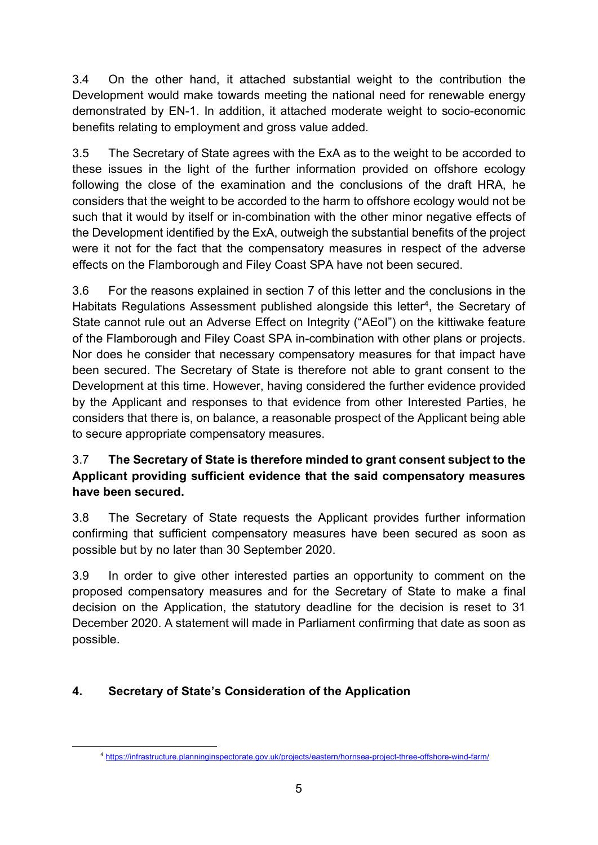3.4 On the other hand, it attached substantial weight to the contribution the Development would make towards meeting the national need for renewable energy demonstrated by EN-1. In addition, it attached moderate weight to socio-economic benefits relating to employment and gross value added.

3.5 The Secretary of State agrees with the ExA as to the weight to be accorded to these issues in the light of the further information provided on offshore ecology following the close of the examination and the conclusions of the draft HRA, he considers that the weight to be accorded to the harm to offshore ecology would not be such that it would by itself or in-combination with the other minor negative effects of the Development identified by the ExA, outweigh the substantial benefits of the project were it not for the fact that the compensatory measures in respect of the adverse effects on the Flamborough and Filey Coast SPA have not been secured.

3.6 For the reasons explained in section 7 of this letter and the conclusions in the Habitats Regulations Assessment published alongside this letter<sup>4</sup>, the Secretary of State cannot rule out an Adverse Effect on Integrity ("AEoI") on the kittiwake feature of the Flamborough and Filey Coast SPA in-combination with other plans or projects. Nor does he consider that necessary compensatory measures for that impact have been secured. The Secretary of State is therefore not able to grant consent to the Development at this time. However, having considered the further evidence provided by the Applicant and responses to that evidence from other Interested Parties, he considers that there is, on balance, a reasonable prospect of the Applicant being able to secure appropriate compensatory measures.

# 3.7 **The Secretary of State is therefore minded to grant consent subject to the Applicant providing sufficient evidence that the said compensatory measures have been secured.**

3.8 The Secretary of State requests the Applicant provides further information confirming that sufficient compensatory measures have been secured as soon as possible but by no later than 30 September 2020.

3.9 In order to give other interested parties an opportunity to comment on the proposed compensatory measures and for the Secretary of State to make a final decision on the Application, the statutory deadline for the decision is reset to 31 December 2020. A statement will made in Parliament confirming that date as soon as possible.

# <span id="page-4-0"></span>**4. Secretary of State's Consideration of the Application**

<sup>4</sup> <https://infrastructure.planninginspectorate.gov.uk/projects/eastern/hornsea-project-three-offshore-wind-farm/>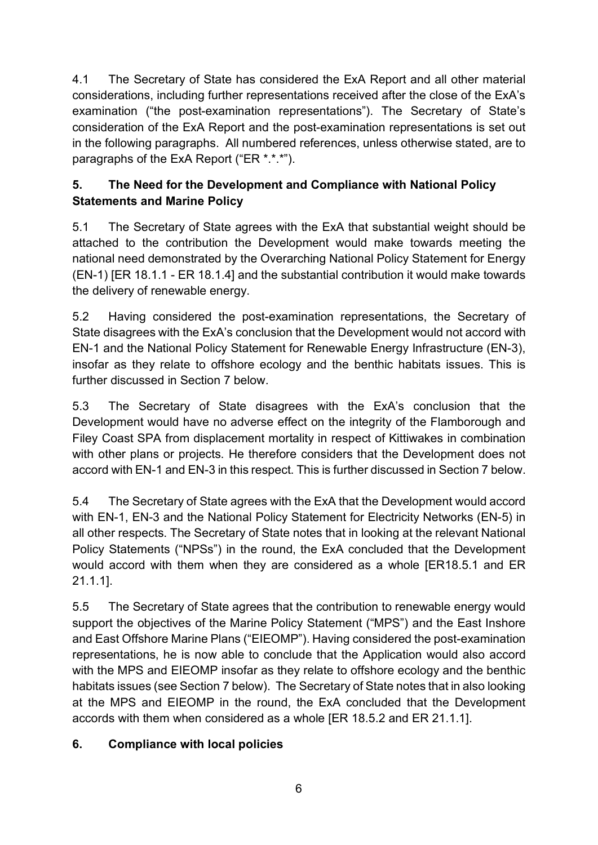4.1 The Secretary of State has considered the ExA Report and all other material considerations, including further representations received after the close of the ExA's examination ("the post-examination representations"). The Secretary of State's consideration of the ExA Report and the post-examination representations is set out in the following paragraphs. All numbered references, unless otherwise stated, are to paragraphs of the ExA Report ("ER \*.\*.\*").

# **5. The Need for the Development and Compliance with National Policy Statements and Marine Policy**

5.1 The Secretary of State agrees with the ExA that substantial weight should be attached to the contribution the Development would make towards meeting the national need demonstrated by the Overarching National Policy Statement for Energy (EN-1) [ER 18.1.1 - ER 18.1.4] and the substantial contribution it would make towards the delivery of renewable energy.

5.2 Having considered the post-examination representations, the Secretary of State disagrees with the ExA's conclusion that the Development would not accord with EN-1 and the National Policy Statement for Renewable Energy Infrastructure (EN-3), insofar as they relate to offshore ecology and the benthic habitats issues. This is further discussed in Section 7 below.

5.3 The Secretary of State disagrees with the ExA's conclusion that the Development would have no adverse effect on the integrity of the Flamborough and Filey Coast SPA from displacement mortality in respect of Kittiwakes in combination with other plans or projects. He therefore considers that the Development does not accord with EN-1 and EN-3 in this respect. This is further discussed in Section 7 below.

5.4 The Secretary of State agrees with the ExA that the Development would accord with EN-1, EN-3 and the National Policy Statement for Electricity Networks (EN-5) in all other respects. The Secretary of State notes that in looking at the relevant National Policy Statements ("NPSs") in the round, the ExA concluded that the Development would accord with them when they are considered as a whole [ER18.5.1 and ER 21.1.1].

5.5 The Secretary of State agrees that the contribution to renewable energy would support the objectives of the Marine Policy Statement ("MPS") and the East Inshore and East Offshore Marine Plans ("EIEOMP"). Having considered the post-examination representations, he is now able to conclude that the Application would also accord with the MPS and EIEOMP insofar as they relate to offshore ecology and the benthic habitats issues (see Section 7 below). The Secretary of State notes that in also looking at the MPS and EIEOMP in the round, the ExA concluded that the Development accords with them when considered as a whole [ER 18.5.2 and ER 21.1.1].

# **6. Compliance with local policies**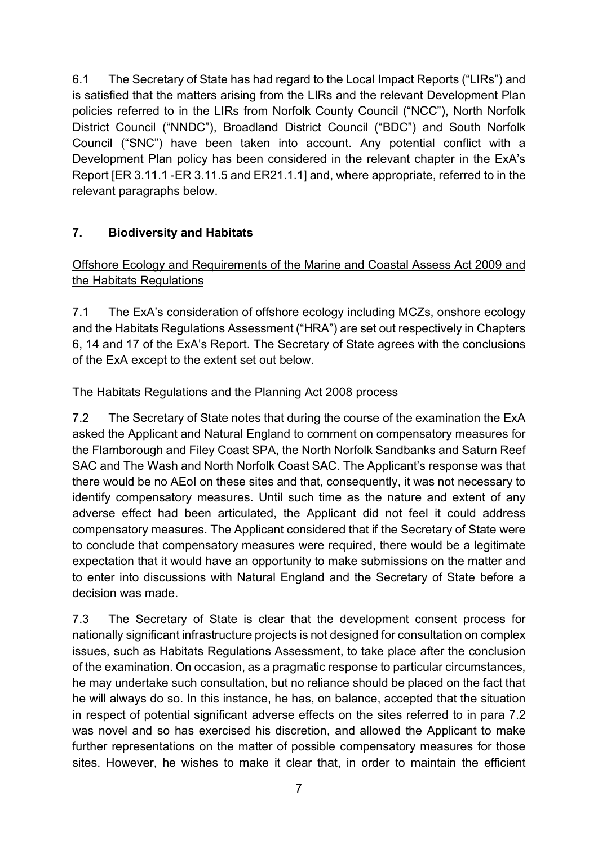6.1 The Secretary of State has had regard to the Local Impact Reports ("LIRs") and is satisfied that the matters arising from the LIRs and the relevant Development Plan policies referred to in the LIRs from Norfolk County Council ("NCC"), North Norfolk District Council ("NNDC"), Broadland District Council ("BDC") and South Norfolk Council ("SNC") have been taken into account. Any potential conflict with a Development Plan policy has been considered in the relevant chapter in the ExA's Report [ER 3.11.1 -ER 3.11.5 and ER21.1.1] and, where appropriate, referred to in the relevant paragraphs below.

# **7. Biodiversity and Habitats**

## Offshore Ecology and Requirements of the Marine and Coastal Assess Act 2009 and the Habitats Regulations

7.1 The ExA's consideration of offshore ecology including MCZs, onshore ecology and the Habitats Regulations Assessment ("HRA") are set out respectively in Chapters 6, 14 and 17 of the ExA's Report. The Secretary of State agrees with the conclusions of the ExA except to the extent set out below.

#### The Habitats Regulations and the Planning Act 2008 process

7.2 The Secretary of State notes that during the course of the examination the ExA asked the Applicant and Natural England to comment on compensatory measures for the Flamborough and Filey Coast SPA, the North Norfolk Sandbanks and Saturn Reef SAC and The Wash and North Norfolk Coast SAC. The Applicant's response was that there would be no AEoI on these sites and that, consequently, it was not necessary to identify compensatory measures. Until such time as the nature and extent of any adverse effect had been articulated, the Applicant did not feel it could address compensatory measures. The Applicant considered that if the Secretary of State were to conclude that compensatory measures were required, there would be a legitimate expectation that it would have an opportunity to make submissions on the matter and to enter into discussions with Natural England and the Secretary of State before a decision was made.

7.3 The Secretary of State is clear that the development consent process for nationally significant infrastructure projects is not designed for consultation on complex issues, such as Habitats Regulations Assessment, to take place after the conclusion of the examination. On occasion, as a pragmatic response to particular circumstances, he may undertake such consultation, but no reliance should be placed on the fact that he will always do so. In this instance, he has, on balance, accepted that the situation in respect of potential significant adverse effects on the sites referred to in para 7.2 was novel and so has exercised his discretion, and allowed the Applicant to make further representations on the matter of possible compensatory measures for those sites. However, he wishes to make it clear that, in order to maintain the efficient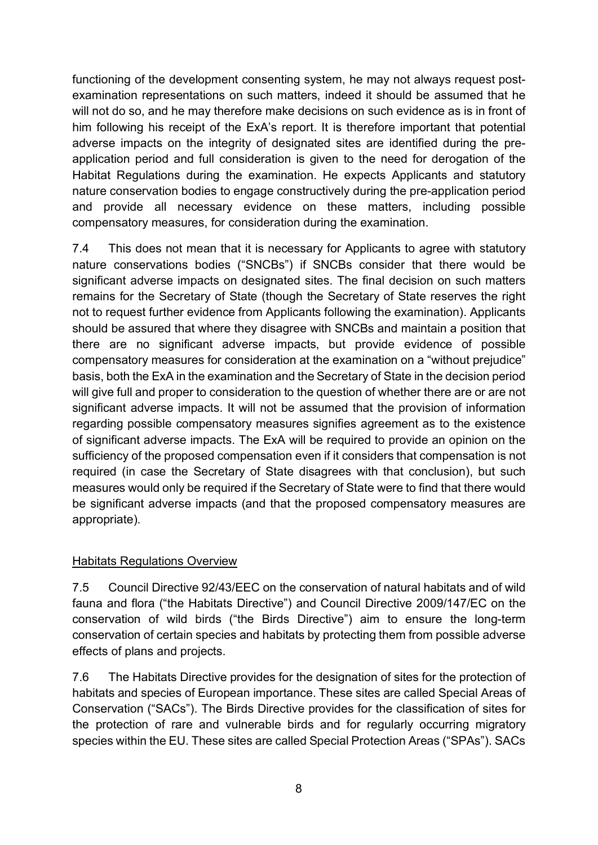functioning of the development consenting system, he may not always request postexamination representations on such matters, indeed it should be assumed that he will not do so, and he may therefore make decisions on such evidence as is in front of him following his receipt of the ExA's report. It is therefore important that potential adverse impacts on the integrity of designated sites are identified during the preapplication period and full consideration is given to the need for derogation of the Habitat Regulations during the examination. He expects Applicants and statutory nature conservation bodies to engage constructively during the pre-application period and provide all necessary evidence on these matters, including possible compensatory measures, for consideration during the examination.

7.4 This does not mean that it is necessary for Applicants to agree with statutory nature conservations bodies ("SNCBs") if SNCBs consider that there would be significant adverse impacts on designated sites. The final decision on such matters remains for the Secretary of State (though the Secretary of State reserves the right not to request further evidence from Applicants following the examination). Applicants should be assured that where they disagree with SNCBs and maintain a position that there are no significant adverse impacts, but provide evidence of possible compensatory measures for consideration at the examination on a "without prejudice" basis, both the ExA in the examination and the Secretary of State in the decision period will give full and proper to consideration to the question of whether there are or are not significant adverse impacts. It will not be assumed that the provision of information regarding possible compensatory measures signifies agreement as to the existence of significant adverse impacts. The ExA will be required to provide an opinion on the sufficiency of the proposed compensation even if it considers that compensation is not required (in case the Secretary of State disagrees with that conclusion), but such measures would only be required if the Secretary of State were to find that there would be significant adverse impacts (and that the proposed compensatory measures are appropriate).

#### Habitats Regulations Overview

7.5 Council Directive 92/43/EEC on the conservation of natural habitats and of wild fauna and flora ("the Habitats Directive") and Council Directive 2009/147/EC on the conservation of wild birds ("the Birds Directive") aim to ensure the long-term conservation of certain species and habitats by protecting them from possible adverse effects of plans and projects.

7.6 The Habitats Directive provides for the designation of sites for the protection of habitats and species of European importance. These sites are called Special Areas of Conservation ("SACs"). The Birds Directive provides for the classification of sites for the protection of rare and vulnerable birds and for regularly occurring migratory species within the EU. These sites are called Special Protection Areas ("SPAs"). SACs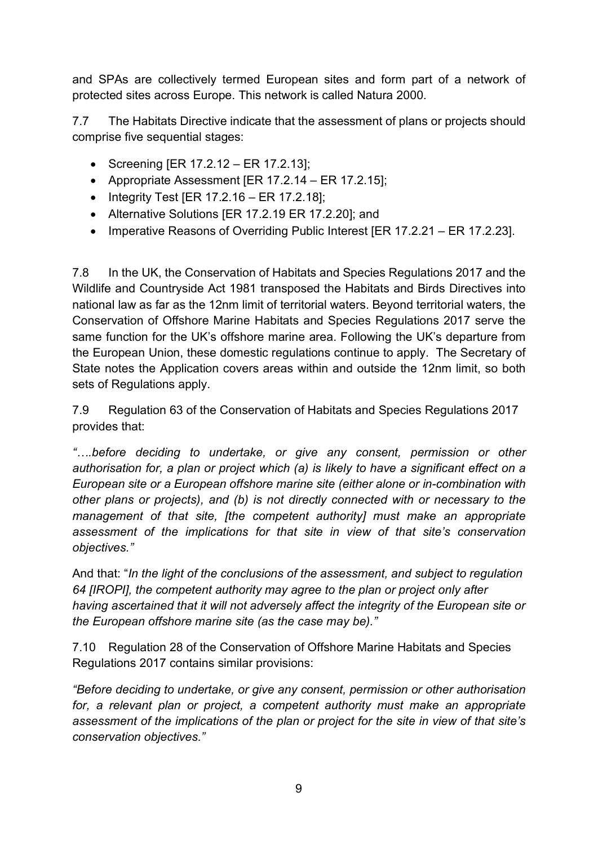and SPAs are collectively termed European sites and form part of a network of protected sites across Europe. This network is called Natura 2000.

7.7 The Habitats Directive indicate that the assessment of plans or projects should comprise five sequential stages:

- Screening [ER 17.2.12 ER 17.2.13];
- Appropriate Assessment [ER 17.2.14 ER 17.2.15];
- Integrity Test [ER  $17.2.16 ER 17.2.18$ ];
- Alternative Solutions [ER 17.2.19 ER 17.2.20]; and
- Imperative Reasons of Overriding Public Interest [ER 17.2.21 ER 17.2.23].

7.8 In the UK, the Conservation of Habitats and Species Regulations 2017 and the Wildlife and Countryside Act 1981 transposed the Habitats and Birds Directives into national law as far as the 12nm limit of territorial waters. Beyond territorial waters, the Conservation of Offshore Marine Habitats and Species Regulations 2017 serve the same function for the UK's offshore marine area. Following the UK's departure from the European Union, these domestic regulations continue to apply. The Secretary of State notes the Application covers areas within and outside the 12nm limit, so both sets of Regulations apply.

7.9 Regulation 63 of the Conservation of Habitats and Species Regulations 2017 provides that:

*"….before deciding to undertake, or give any consent, permission or other authorisation for, a plan or project which (a) is likely to have a significant effect on a European site or a European offshore marine site (either alone or in-combination with other plans or projects), and (b) is not directly connected with or necessary to the management of that site, [the competent authority] must make an appropriate assessment of the implications for that site in view of that site's conservation objectives."*

And that: "*In the light of the conclusions of the assessment, and subject to regulation 64 [IROPI], the competent authority may agree to the plan or project only after having ascertained that it will not adversely affect the integrity of the European site or the European offshore marine site (as the case may be)."*

7.10 Regulation 28 of the Conservation of Offshore Marine Habitats and Species Regulations 2017 contains similar provisions:

*"Before deciding to undertake, or give any consent, permission or other authorisation for, a relevant plan or project, a competent authority must make an appropriate assessment of the implications of the plan or project for the site in view of that site's conservation objectives."*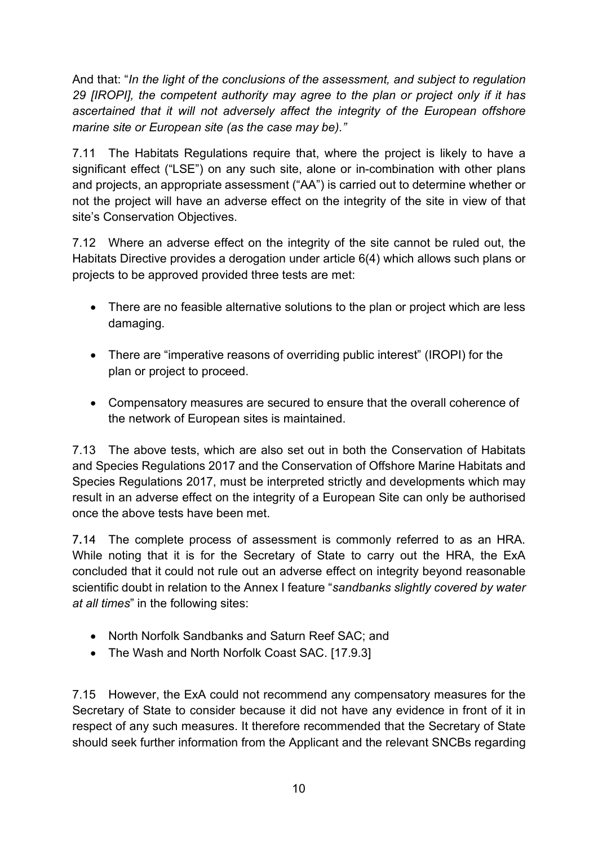And that: "*In the light of the conclusions of the assessment, and subject to regulation 29 [IROPI], the competent authority may agree to the plan or project only if it has ascertained that it will not adversely affect the integrity of the European offshore marine site or European site (as the case may be)."*

7.11 The Habitats Regulations require that, where the project is likely to have a significant effect ("LSE") on any such site, alone or in-combination with other plans and projects, an appropriate assessment ("AA") is carried out to determine whether or not the project will have an adverse effect on the integrity of the site in view of that site's Conservation Objectives.

7.12 Where an adverse effect on the integrity of the site cannot be ruled out, the Habitats Directive provides a derogation under article 6(4) which allows such plans or projects to be approved provided three tests are met:

- There are no feasible alternative solutions to the plan or project which are less damaging.
- There are "imperative reasons of overriding public interest" (IROPI) for the plan or project to proceed.
- Compensatory measures are secured to ensure that the overall coherence of the network of European sites is maintained.

7.13 The above tests, which are also set out in both the Conservation of Habitats and Species Regulations 2017 and the Conservation of Offshore Marine Habitats and Species Regulations 2017, must be interpreted strictly and developments which may result in an adverse effect on the integrity of a European Site can only be authorised once the above tests have been met.

7.14 The complete process of assessment is commonly referred to as an HRA. While noting that it is for the Secretary of State to carry out the HRA, the ExA concluded that it could not rule out an adverse effect on integrity beyond reasonable scientific doubt in relation to the Annex I feature "*sandbanks slightly covered by water at all times*" in the following sites:

- North Norfolk Sandbanks and Saturn Reef SAC; and
- The Wash and North Norfolk Coast SAC. [17.9.3]

7.15 However, the ExA could not recommend any compensatory measures for the Secretary of State to consider because it did not have any evidence in front of it in respect of any such measures. It therefore recommended that the Secretary of State should seek further information from the Applicant and the relevant SNCBs regarding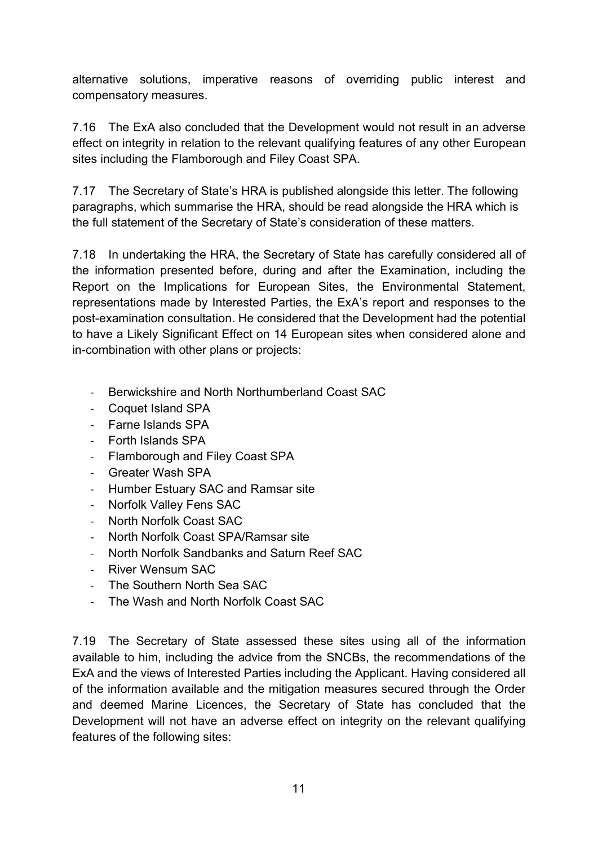alternative solutions, imperative reasons of overriding public interest and compensatory measures.

7.16 The ExA also concluded that the Development would not result in an adverse effect on integrity in relation to the relevant qualifying features of any other European sites including the Flamborough and Filey Coast SPA.

7.17 The Secretary of State's HRA is published alongside this letter. The following paragraphs, which summarise the HRA, should be read alongside the HRA which is the full statement of the Secretary of State's consideration of these matters.

7.18 In undertaking the HRA, the Secretary of State has carefully considered all of the information presented before, during and after the Examination, including the Report on the Implications for European Sites, the Environmental Statement, representations made by Interested Parties, the ExA's report and responses to the post-examination consultation. He considered that the Development had the potential to have a Likely Significant Effect on 14 European sites when considered alone and in-combination with other plans or projects:

- Berwickshire and North Northumberland Coast SAC
- Coquet Island SPA
- Farne Islands SPA
- Forth Islands SPA
- Flamborough and Filey Coast SPA
- Greater Wash SPA
- Humber Estuary SAC and Ramsar site
- Norfolk Valley Fens SAC
- North Norfolk Coast SAC
- North Norfolk Coast SPA/Ramsar site
- North Norfolk Sandbanks and Saturn Reef SAC
- River Wensum SAC
- The Southern North Sea SAC
- The Wash and North Norfolk Coast SAC

7.19 The Secretary of State assessed these sites using all of the information available to him, including the advice from the SNCBs, the recommendations of the ExA and the views of Interested Parties including the Applicant. Having considered all of the information available and the mitigation measures secured through the Order and deemed Marine Licences, the Secretary of State has concluded that the Development will not have an adverse effect on integrity on the relevant qualifying features of the following sites: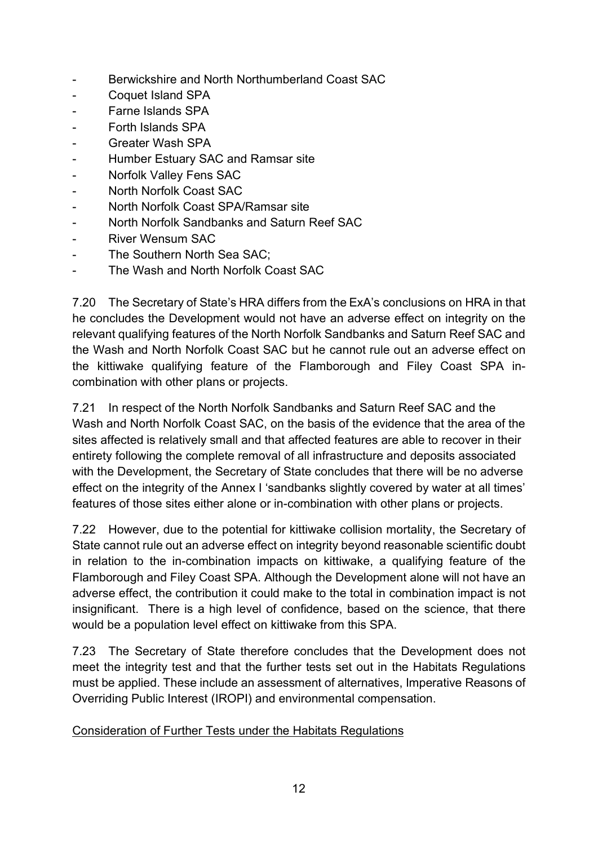- Berwickshire and North Northumberland Coast SAC
- Coquet Island SPA
- Farne Islands SPA
- Forth Islands SPA
- Greater Wash SPA
- Humber Estuary SAC and Ramsar site
- Norfolk Valley Fens SAC
- North Norfolk Coast SAC
- North Norfolk Coast SPA/Ramsar site
- North Norfolk Sandbanks and Saturn Reef SAC
- River Wensum SAC
- The Southern North Sea SAC;
- The Wash and North Norfolk Coast SAC

7.20 The Secretary of State's HRA differs from the ExA's conclusions on HRA in that he concludes the Development would not have an adverse effect on integrity on the relevant qualifying features of the North Norfolk Sandbanks and Saturn Reef SAC and the Wash and North Norfolk Coast SAC but he cannot rule out an adverse effect on the kittiwake qualifying feature of the Flamborough and Filey Coast SPA incombination with other plans or projects.

7.21 In respect of the North Norfolk Sandbanks and Saturn Reef SAC and the Wash and North Norfolk Coast SAC, on the basis of the evidence that the area of the sites affected is relatively small and that affected features are able to recover in their entirety following the complete removal of all infrastructure and deposits associated with the Development, the Secretary of State concludes that there will be no adverse effect on the integrity of the Annex I 'sandbanks slightly covered by water at all times' features of those sites either alone or in-combination with other plans or projects.

7.22 However, due to the potential for kittiwake collision mortality, the Secretary of State cannot rule out an adverse effect on integrity beyond reasonable scientific doubt in relation to the in-combination impacts on kittiwake, a qualifying feature of the Flamborough and Filey Coast SPA. Although the Development alone will not have an adverse effect, the contribution it could make to the total in combination impact is not insignificant. There is a high level of confidence, based on the science, that there would be a population level effect on kittiwake from this SPA.

7.23 The Secretary of State therefore concludes that the Development does not meet the integrity test and that the further tests set out in the Habitats Regulations must be applied. These include an assessment of alternatives, Imperative Reasons of Overriding Public Interest (IROPI) and environmental compensation.

#### Consideration of Further Tests under the Habitats Regulations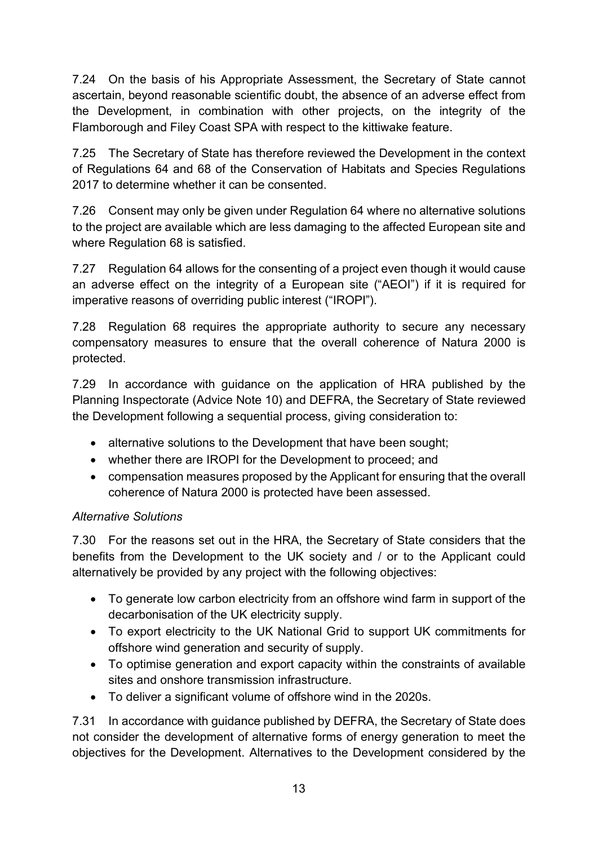7.24 On the basis of his Appropriate Assessment, the Secretary of State cannot ascertain, beyond reasonable scientific doubt, the absence of an adverse effect from the Development, in combination with other projects, on the integrity of the Flamborough and Filey Coast SPA with respect to the kittiwake feature.

7.25 The Secretary of State has therefore reviewed the Development in the context of Regulations 64 and 68 of the Conservation of Habitats and Species Regulations 2017 to determine whether it can be consented.

7.26 Consent may only be given under Regulation 64 where no alternative solutions to the project are available which are less damaging to the affected European site and where Regulation 68 is satisfied.

7.27 Regulation 64 allows for the consenting of a project even though it would cause an adverse effect on the integrity of a European site ("AEOI") if it is required for imperative reasons of overriding public interest ("IROPI").

7.28 Regulation 68 requires the appropriate authority to secure any necessary compensatory measures to ensure that the overall coherence of Natura 2000 is protected.

7.29 In accordance with guidance on the application of HRA published by the Planning Inspectorate (Advice Note 10) and DEFRA, the Secretary of State reviewed the Development following a sequential process, giving consideration to:

- alternative solutions to the Development that have been sought;
- whether there are IROPI for the Development to proceed; and
- compensation measures proposed by the Applicant for ensuring that the overall coherence of Natura 2000 is protected have been assessed.

### *Alternative Solutions*

7.30 For the reasons set out in the HRA, the Secretary of State considers that the benefits from the Development to the UK society and / or to the Applicant could alternatively be provided by any project with the following objectives:

- To generate low carbon electricity from an offshore wind farm in support of the decarbonisation of the UK electricity supply.
- To export electricity to the UK National Grid to support UK commitments for offshore wind generation and security of supply.
- To optimise generation and export capacity within the constraints of available sites and onshore transmission infrastructure.
- To deliver a significant volume of offshore wind in the 2020s.

7.31 In accordance with guidance published by DEFRA, the Secretary of State does not consider the development of alternative forms of energy generation to meet the objectives for the Development. Alternatives to the Development considered by the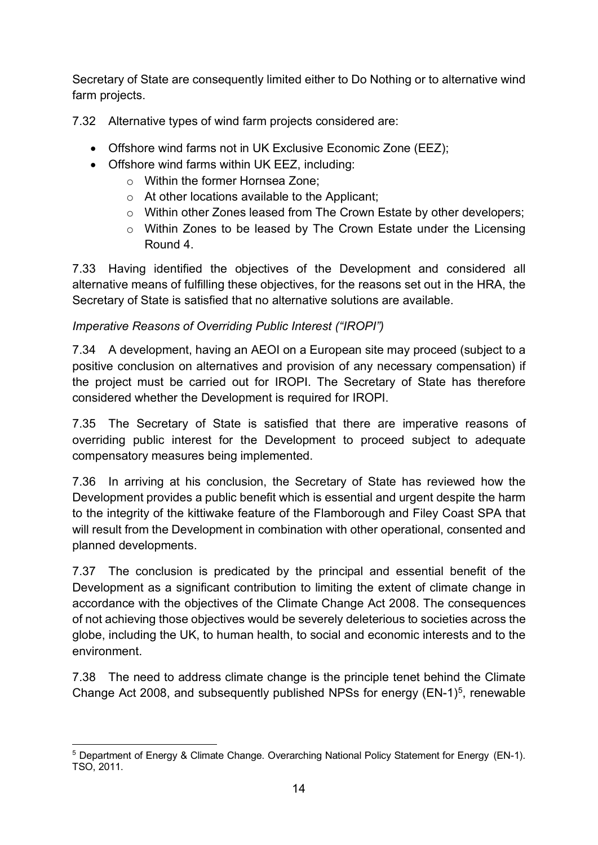Secretary of State are consequently limited either to Do Nothing or to alternative wind farm projects.

7.32 Alternative types of wind farm projects considered are:

- Offshore wind farms not in UK Exclusive Economic Zone (EEZ);
- Offshore wind farms within UK EEZ, including:
	- o Within the former Hornsea Zone;
	- o At other locations available to the Applicant;
	- o Within other Zones leased from The Crown Estate by other developers;
	- o Within Zones to be leased by The Crown Estate under the Licensing Round 4.

7.33 Having identified the objectives of the Development and considered all alternative means of fulfilling these objectives, for the reasons set out in the HRA, the Secretary of State is satisfied that no alternative solutions are available.

# *Imperative Reasons of Overriding Public Interest ("IROPI")*

7.34 A development, having an AEOI on a European site may proceed (subject to a positive conclusion on alternatives and provision of any necessary compensation) if the project must be carried out for IROPI. The Secretary of State has therefore considered whether the Development is required for IROPI.

7.35 The Secretary of State is satisfied that there are imperative reasons of overriding public interest for the Development to proceed subject to adequate compensatory measures being implemented.

7.36 In arriving at his conclusion, the Secretary of State has reviewed how the Development provides a public benefit which is essential and urgent despite the harm to the integrity of the kittiwake feature of the Flamborough and Filey Coast SPA that will result from the Development in combination with other operational, consented and planned developments.

7.37 The conclusion is predicated by the principal and essential benefit of the Development as a significant contribution to limiting the extent of climate change in accordance with the objectives of the Climate Change Act 2008. The consequences of not achieving those objectives would be severely deleterious to societies across the globe, including the UK, to human health, to social and economic interests and to the environment.

7.38 The need to address climate change is the principle tenet behind the Climate Change Act 2008, and subsequently published NPSs for energy  $(EN-1)^5$ , renewable

<span id="page-13-0"></span><sup>5</sup> Department of Energy & Climate Change. Overarching National Policy Statement for Energy (EN-1). TSO, 2011.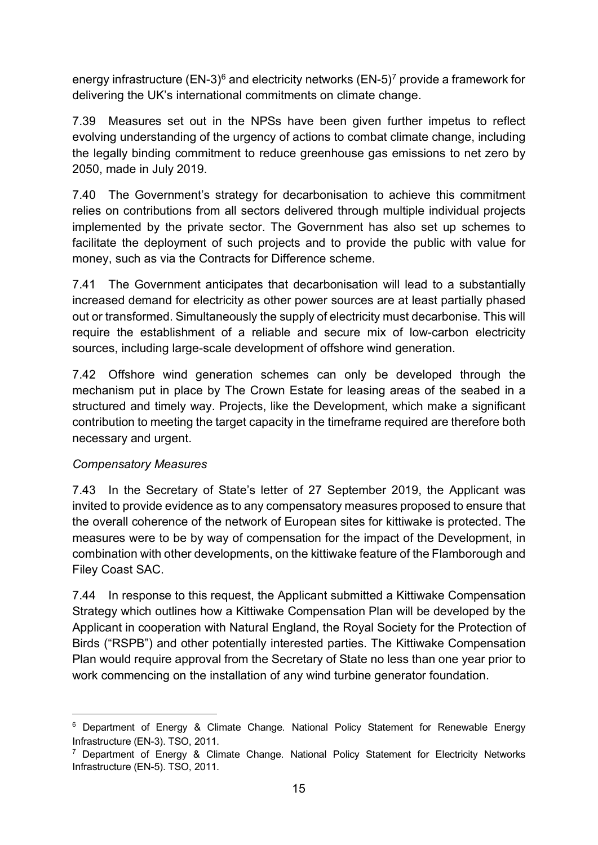energy infrastructure (EN-3)<sup>[6](#page-14-0)</sup> and electricity networks (EN-5)<sup>7</sup> provide a framework for delivering the UK's international commitments on climate change.

7.39 Measures set out in the NPSs have been given further impetus to reflect evolving understanding of the urgency of actions to combat climate change, including the legally binding commitment to reduce greenhouse gas emissions to net zero by 2050, made in July 2019.

7.40 The Government's strategy for decarbonisation to achieve this commitment relies on contributions from all sectors delivered through multiple individual projects implemented by the private sector. The Government has also set up schemes to facilitate the deployment of such projects and to provide the public with value for money, such as via the Contracts for Difference scheme.

7.41 The Government anticipates that decarbonisation will lead to a substantially increased demand for electricity as other power sources are at least partially phased out or transformed. Simultaneously the supply of electricity must decarbonise. This will require the establishment of a reliable and secure mix of low-carbon electricity sources, including large-scale development of offshore wind generation.

7.42 Offshore wind generation schemes can only be developed through the mechanism put in place by The Crown Estate for leasing areas of the seabed in a structured and timely way. Projects, like the Development, which make a significant contribution to meeting the target capacity in the timeframe required are therefore both necessary and urgent.

#### *Compensatory Measures*

7.43 In the Secretary of State's letter of 27 September 2019, the Applicant was invited to provide evidence as to any compensatory measures proposed to ensure that the overall coherence of the network of European sites for kittiwake is protected. The measures were to be by way of compensation for the impact of the Development, in combination with other developments, on the kittiwake feature of the Flamborough and Filey Coast SAC.

7.44 In response to this request, the Applicant submitted a Kittiwake Compensation Strategy which outlines how a Kittiwake Compensation Plan will be developed by the Applicant in cooperation with Natural England, the Royal Society for the Protection of Birds ("RSPB") and other potentially interested parties. The Kittiwake Compensation Plan would require approval from the Secretary of State no less than one year prior to work commencing on the installation of any wind turbine generator foundation.

<span id="page-14-0"></span><sup>&</sup>lt;sup>6</sup> Department of Energy & Climate Change. National Policy Statement for Renewable Energy Infrastructure (EN-3). TSO, 2011.

<span id="page-14-1"></span><sup>7</sup> Department of Energy & Climate Change. National Policy Statement for Electricity Networks Infrastructure (EN-5). TSO, 2011.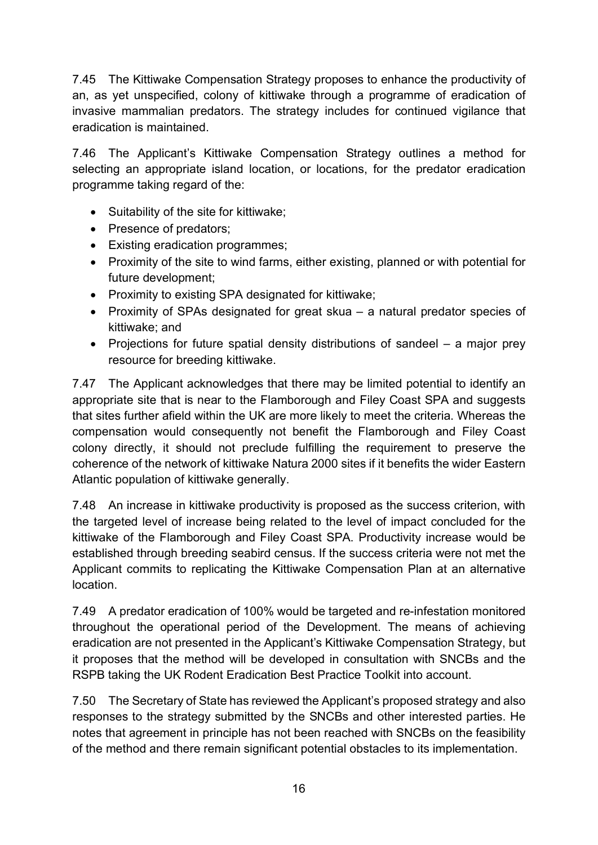7.45 The Kittiwake Compensation Strategy proposes to enhance the productivity of an, as yet unspecified, colony of kittiwake through a programme of eradication of invasive mammalian predators. The strategy includes for continued vigilance that eradication is maintained.

7.46 The Applicant's Kittiwake Compensation Strategy outlines a method for selecting an appropriate island location, or locations, for the predator eradication programme taking regard of the:

- Suitability of the site for kittiwake;
- Presence of predators;
- Existing eradication programmes;
- Proximity of the site to wind farms, either existing, planned or with potential for future development;
- Proximity to existing SPA designated for kittiwake;
- Proximity of SPAs designated for great skua a natural predator species of kittiwake; and
- Projections for future spatial density distributions of sandeel a major prey resource for breeding kittiwake.

7.47 The Applicant acknowledges that there may be limited potential to identify an appropriate site that is near to the Flamborough and Filey Coast SPA and suggests that sites further afield within the UK are more likely to meet the criteria. Whereas the compensation would consequently not benefit the Flamborough and Filey Coast colony directly, it should not preclude fulfilling the requirement to preserve the coherence of the network of kittiwake Natura 2000 sites if it benefits the wider Eastern Atlantic population of kittiwake generally.

7.48 An increase in kittiwake productivity is proposed as the success criterion, with the targeted level of increase being related to the level of impact concluded for the kittiwake of the Flamborough and Filey Coast SPA. Productivity increase would be established through breeding seabird census. If the success criteria were not met the Applicant commits to replicating the Kittiwake Compensation Plan at an alternative location.

7.49 A predator eradication of 100% would be targeted and re-infestation monitored throughout the operational period of the Development. The means of achieving eradication are not presented in the Applicant's Kittiwake Compensation Strategy, but it proposes that the method will be developed in consultation with SNCBs and the RSPB taking the UK Rodent Eradication Best Practice Toolkit into account.

7.50 The Secretary of State has reviewed the Applicant's proposed strategy and also responses to the strategy submitted by the SNCBs and other interested parties. He notes that agreement in principle has not been reached with SNCBs on the feasibility of the method and there remain significant potential obstacles to its implementation.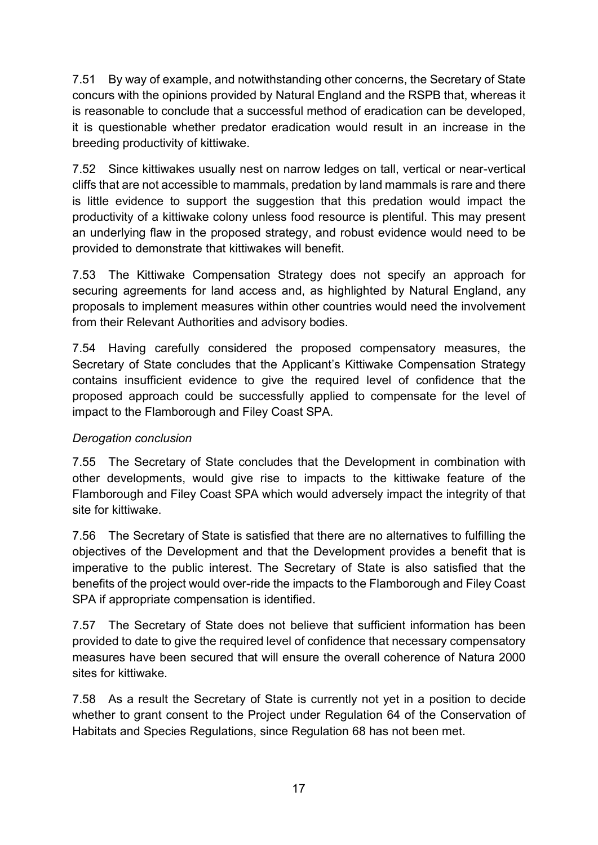7.51 By way of example, and notwithstanding other concerns, the Secretary of State concurs with the opinions provided by Natural England and the RSPB that, whereas it is reasonable to conclude that a successful method of eradication can be developed, it is questionable whether predator eradication would result in an increase in the breeding productivity of kittiwake.

7.52 Since kittiwakes usually nest on narrow ledges on tall, vertical or near-vertical cliffs that are not accessible to mammals, predation by land mammals is rare and there is little evidence to support the suggestion that this predation would impact the productivity of a kittiwake colony unless food resource is plentiful. This may present an underlying flaw in the proposed strategy, and robust evidence would need to be provided to demonstrate that kittiwakes will benefit.

7.53 The Kittiwake Compensation Strategy does not specify an approach for securing agreements for land access and, as highlighted by Natural England, any proposals to implement measures within other countries would need the involvement from their Relevant Authorities and advisory bodies.

7.54 Having carefully considered the proposed compensatory measures, the Secretary of State concludes that the Applicant's Kittiwake Compensation Strategy contains insufficient evidence to give the required level of confidence that the proposed approach could be successfully applied to compensate for the level of impact to the Flamborough and Filey Coast SPA.

### *Derogation conclusion*

7.55 The Secretary of State concludes that the Development in combination with other developments, would give rise to impacts to the kittiwake feature of the Flamborough and Filey Coast SPA which would adversely impact the integrity of that site for kittiwake.

7.56 The Secretary of State is satisfied that there are no alternatives to fulfilling the objectives of the Development and that the Development provides a benefit that is imperative to the public interest. The Secretary of State is also satisfied that the benefits of the project would over-ride the impacts to the Flamborough and Filey Coast SPA if appropriate compensation is identified.

7.57 The Secretary of State does not believe that sufficient information has been provided to date to give the required level of confidence that necessary compensatory measures have been secured that will ensure the overall coherence of Natura 2000 sites for kittiwake.

7.58 As a result the Secretary of State is currently not yet in a position to decide whether to grant consent to the Project under Regulation 64 of the Conservation of Habitats and Species Regulations, since Regulation 68 has not been met.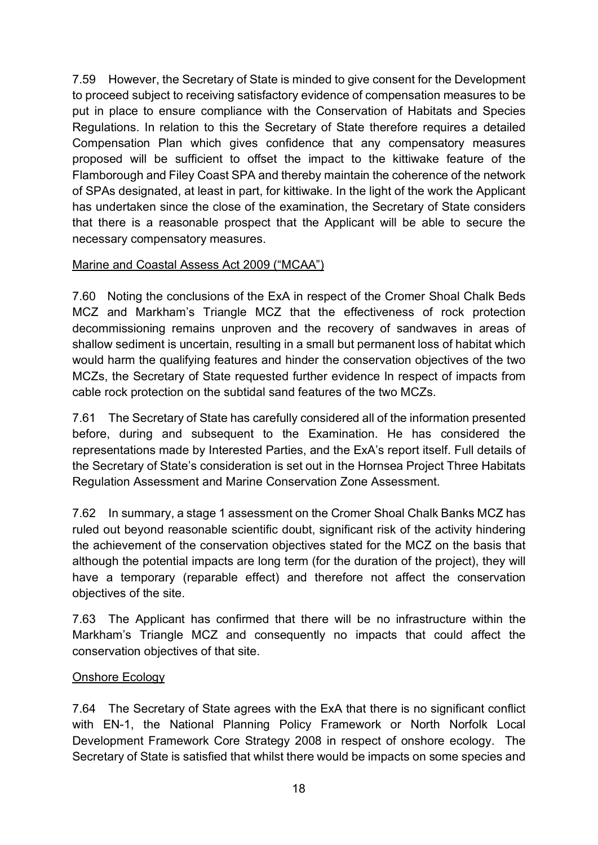7.59 However, the Secretary of State is minded to give consent for the Development to proceed subject to receiving satisfactory evidence of compensation measures to be put in place to ensure compliance with the Conservation of Habitats and Species Regulations. In relation to this the Secretary of State therefore requires a detailed Compensation Plan which gives confidence that any compensatory measures proposed will be sufficient to offset the impact to the kittiwake feature of the Flamborough and Filey Coast SPA and thereby maintain the coherence of the network of SPAs designated, at least in part, for kittiwake. In the light of the work the Applicant has undertaken since the close of the examination, the Secretary of State considers that there is a reasonable prospect that the Applicant will be able to secure the necessary compensatory measures.

#### Marine and Coastal Assess Act 2009 ("MCAA")

7.60 Noting the conclusions of the ExA in respect of the Cromer Shoal Chalk Beds MCZ and Markham's Triangle MCZ that the effectiveness of rock protection decommissioning remains unproven and the recovery of sandwaves in areas of shallow sediment is uncertain, resulting in a small but permanent loss of habitat which would harm the qualifying features and hinder the conservation objectives of the two MCZs, the Secretary of State requested further evidence In respect of impacts from cable rock protection on the subtidal sand features of the two MCZs.

7.61 The Secretary of State has carefully considered all of the information presented before, during and subsequent to the Examination. He has considered the representations made by Interested Parties, and the ExA's report itself. Full details of the Secretary of State's consideration is set out in the Hornsea Project Three Habitats Regulation Assessment and Marine Conservation Zone Assessment.

7.62 In summary, a stage 1 assessment on the Cromer Shoal Chalk Banks MCZ has ruled out beyond reasonable scientific doubt, significant risk of the activity hindering the achievement of the conservation objectives stated for the MCZ on the basis that although the potential impacts are long term (for the duration of the project), they will have a temporary (reparable effect) and therefore not affect the conservation objectives of the site.

7.63 The Applicant has confirmed that there will be no infrastructure within the Markham's Triangle MCZ and consequently no impacts that could affect the conservation objectives of that site.

#### Onshore Ecology

7.64 The Secretary of State agrees with the ExA that there is no significant conflict with EN-1, the National Planning Policy Framework or North Norfolk Local Development Framework Core Strategy 2008 in respect of onshore ecology. The Secretary of State is satisfied that whilst there would be impacts on some species and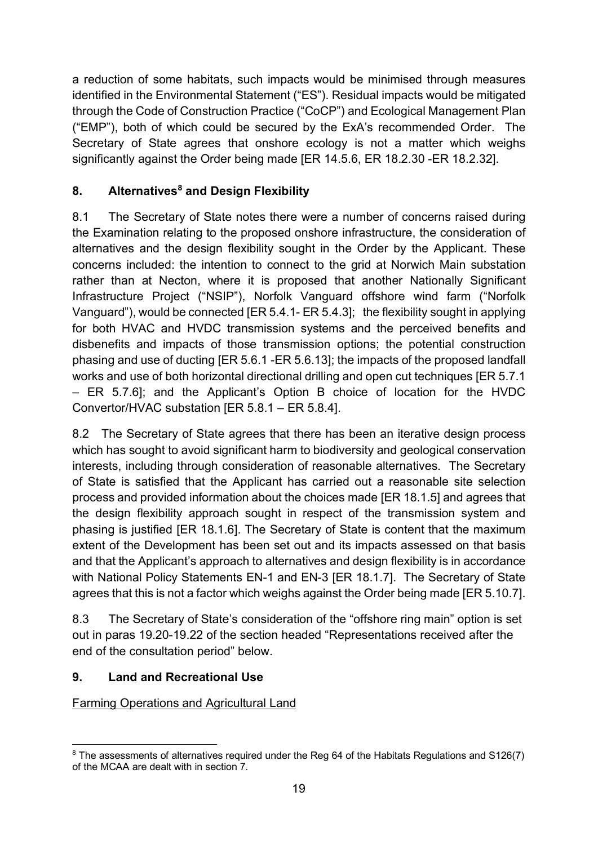a reduction of some habitats, such impacts would be minimised through measures identified in the Environmental Statement ("ES"). Residual impacts would be mitigated through the Code of Construction Practice ("CoCP") and Ecological Management Plan ("EMP"), both of which could be secured by the ExA's recommended Order. The Secretary of State agrees that onshore ecology is not a matter which weighs significantly against the Order being made [ER 14.5.6, ER 18.2.30 -ER 18.2.32].

# **8. Alternatives[8](#page-18-0) and Design Flexibility**

8.1 The Secretary of State notes there were a number of concerns raised during the Examination relating to the proposed onshore infrastructure, the consideration of alternatives and the design flexibility sought in the Order by the Applicant. These concerns included: the intention to connect to the grid at Norwich Main substation rather than at Necton, where it is proposed that another Nationally Significant Infrastructure Project ("NSIP"), Norfolk Vanguard offshore wind farm ("Norfolk Vanguard"), would be connected [ER 5.4.1- ER 5.4.3]; the flexibility sought in applying for both HVAC and HVDC transmission systems and the perceived benefits and disbenefits and impacts of those transmission options; the potential construction phasing and use of ducting [ER 5.6.1 -ER 5.6.13]; the impacts of the proposed landfall works and use of both horizontal directional drilling and open cut techniques [ER 5.7.1 – ER 5.7.6]; and the Applicant's Option B choice of location for the HVDC Convertor/HVAC substation [ER 5.8.1 – ER 5.8.4].

8.2 The Secretary of State agrees that there has been an iterative design process which has sought to avoid significant harm to biodiversity and geological conservation interests, including through consideration of reasonable alternatives. The Secretary of State is satisfied that the Applicant has carried out a reasonable site selection process and provided information about the choices made [ER 18.1.5] and agrees that the design flexibility approach sought in respect of the transmission system and phasing is justified [ER 18.1.6]. The Secretary of State is content that the maximum extent of the Development has been set out and its impacts assessed on that basis and that the Applicant's approach to alternatives and design flexibility is in accordance with National Policy Statements EN-1 and EN-3 [ER 18.1.7]. The Secretary of State agrees that this is not a factor which weighs against the Order being made [ER 5.10.7].

8.3 The Secretary of State's consideration of the "offshore ring main" option is set out in paras 19.20-19.22 of the section headed "Representations received after the end of the consultation period" below.

# **9. Land and Recreational Use**

Farming Operations and Agricultural Land

<span id="page-18-0"></span><sup>&</sup>lt;sup>8</sup> The assessments of alternatives required under the Reg 64 of the Habitats Regulations and S126(7) of the MCAA are dealt with in section 7.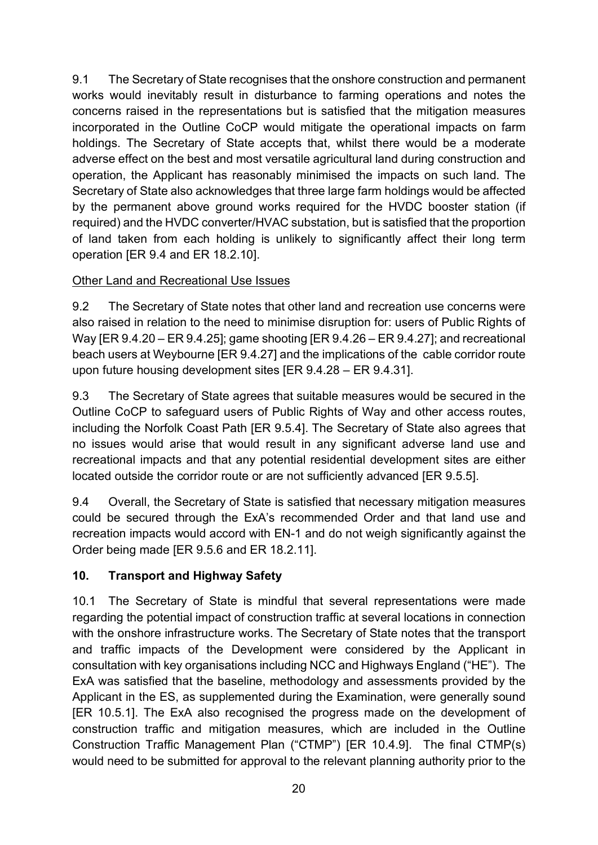9.1 The Secretary of State recognises that the onshore construction and permanent works would inevitably result in disturbance to farming operations and notes the concerns raised in the representations but is satisfied that the mitigation measures incorporated in the Outline CoCP would mitigate the operational impacts on farm holdings. The Secretary of State accepts that, whilst there would be a moderate adverse effect on the best and most versatile agricultural land during construction and operation, the Applicant has reasonably minimised the impacts on such land. The Secretary of State also acknowledges that three large farm holdings would be affected by the permanent above ground works required for the HVDC booster station (if required) and the HVDC converter/HVAC substation, but is satisfied that the proportion of land taken from each holding is unlikely to significantly affect their long term operation [ER 9.4 and ER 18.2.10].

# Other Land and Recreational Use Issues

9.2 The Secretary of State notes that other land and recreation use concerns were also raised in relation to the need to minimise disruption for: users of Public Rights of Way [ER 9.4.20 – ER 9.4.25]; game shooting [ER 9.4.26 – ER 9.4.27]; and recreational beach users at Weybourne [ER 9.4.27] and the implications of the cable corridor route upon future housing development sites [ER 9.4.28 – ER 9.4.31].

9.3 The Secretary of State agrees that suitable measures would be secured in the Outline CoCP to safeguard users of Public Rights of Way and other access routes, including the Norfolk Coast Path [ER 9.5.4]. The Secretary of State also agrees that no issues would arise that would result in any significant adverse land use and recreational impacts and that any potential residential development sites are either located outside the corridor route or are not sufficiently advanced [ER 9.5.5].

9.4 Overall, the Secretary of State is satisfied that necessary mitigation measures could be secured through the ExA's recommended Order and that land use and recreation impacts would accord with EN-1 and do not weigh significantly against the Order being made [ER 9.5.6 and ER 18.2.11].

# **10. Transport and Highway Safety**

10.1 The Secretary of State is mindful that several representations were made regarding the potential impact of construction traffic at several locations in connection with the onshore infrastructure works. The Secretary of State notes that the transport and traffic impacts of the Development were considered by the Applicant in consultation with key organisations including NCC and Highways England ("HE"). The ExA was satisfied that the baseline, methodology and assessments provided by the Applicant in the ES, as supplemented during the Examination, were generally sound [ER 10.5.1]. The ExA also recognised the progress made on the development of construction traffic and mitigation measures, which are included in the Outline Construction Traffic Management Plan ("CTMP") [ER 10.4.9]. The final CTMP(s) would need to be submitted for approval to the relevant planning authority prior to the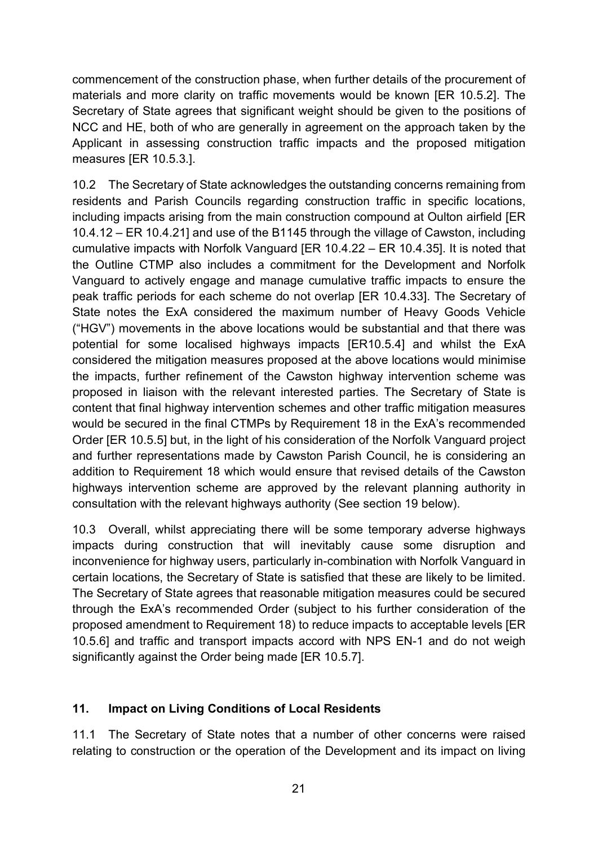commencement of the construction phase, when further details of the procurement of materials and more clarity on traffic movements would be known [ER 10.5.2]. The Secretary of State agrees that significant weight should be given to the positions of NCC and HE, both of who are generally in agreement on the approach taken by the Applicant in assessing construction traffic impacts and the proposed mitigation measures [ER 10.5.3.].

10.2 The Secretary of State acknowledges the outstanding concerns remaining from residents and Parish Councils regarding construction traffic in specific locations, including impacts arising from the main construction compound at Oulton airfield [ER 10.4.12 – ER 10.4.21] and use of the B1145 through the village of Cawston, including cumulative impacts with Norfolk Vanguard [ER 10.4.22 – ER 10.4.35]. It is noted that the Outline CTMP also includes a commitment for the Development and Norfolk Vanguard to actively engage and manage cumulative traffic impacts to ensure the peak traffic periods for each scheme do not overlap [ER 10.4.33]. The Secretary of State notes the ExA considered the maximum number of Heavy Goods Vehicle ("HGV") movements in the above locations would be substantial and that there was potential for some localised highways impacts [ER10.5.4] and whilst the ExA considered the mitigation measures proposed at the above locations would minimise the impacts, further refinement of the Cawston highway intervention scheme was proposed in liaison with the relevant interested parties. The Secretary of State is content that final highway intervention schemes and other traffic mitigation measures would be secured in the final CTMPs by Requirement 18 in the ExA's recommended Order [ER 10.5.5] but, in the light of his consideration of the Norfolk Vanguard project and further representations made by Cawston Parish Council, he is considering an addition to Requirement 18 which would ensure that revised details of the Cawston highways intervention scheme are approved by the relevant planning authority in consultation with the relevant highways authority (See section 19 below).

10.3 Overall, whilst appreciating there will be some temporary adverse highways impacts during construction that will inevitably cause some disruption and inconvenience for highway users, particularly in-combination with Norfolk Vanguard in certain locations, the Secretary of State is satisfied that these are likely to be limited. The Secretary of State agrees that reasonable mitigation measures could be secured through the ExA's recommended Order (subject to his further consideration of the proposed amendment to Requirement 18) to reduce impacts to acceptable levels [ER 10.5.6] and traffic and transport impacts accord with NPS EN-1 and do not weigh significantly against the Order being made [ER 10.5.7].

#### **11. Impact on Living Conditions of Local Residents**

11.1 The Secretary of State notes that a number of other concerns were raised relating to construction or the operation of the Development and its impact on living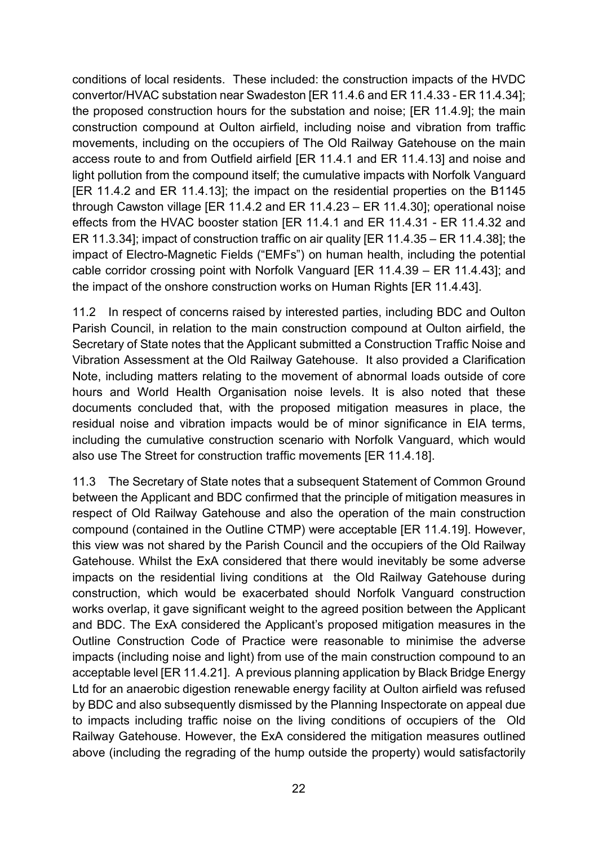conditions of local residents. These included: the construction impacts of the HVDC convertor/HVAC substation near Swadeston [ER 11.4.6 and ER 11.4.33 - ER 11.4.34]; the proposed construction hours for the substation and noise; [ER 11.4.9]; the main construction compound at Oulton airfield, including noise and vibration from traffic movements, including on the occupiers of The Old Railway Gatehouse on the main access route to and from Outfield airfield [ER 11.4.1 and ER 11.4.13] and noise and light pollution from the compound itself; the cumulative impacts with Norfolk Vanguard [ER 11.4.2 and ER 11.4.13]; the impact on the residential properties on the B1145 through Cawston village [ER 11.4.2 and ER 11.4.23 – ER 11.4.30]; operational noise effects from the HVAC booster station [ER 11.4.1 and ER 11.4.31 - ER 11.4.32 and ER 11.3.34]; impact of construction traffic on air quality [ER 11.4.35 – ER 11.4.38]; the impact of Electro-Magnetic Fields ("EMFs") on human health, including the potential cable corridor crossing point with Norfolk Vanguard [ER 11.4.39 – ER 11.4.43]; and the impact of the onshore construction works on Human Rights [ER 11.4.43].

11.2 In respect of concerns raised by interested parties, including BDC and Oulton Parish Council, in relation to the main construction compound at Oulton airfield, the Secretary of State notes that the Applicant submitted a Construction Traffic Noise and Vibration Assessment at the Old Railway Gatehouse. It also provided a Clarification Note, including matters relating to the movement of abnormal loads outside of core hours and World Health Organisation noise levels. It is also noted that these documents concluded that, with the proposed mitigation measures in place, the residual noise and vibration impacts would be of minor significance in EIA terms, including the cumulative construction scenario with Norfolk Vanguard, which would also use The Street for construction traffic movements [ER 11.4.18].

11.3 The Secretary of State notes that a subsequent Statement of Common Ground between the Applicant and BDC confirmed that the principle of mitigation measures in respect of Old Railway Gatehouse and also the operation of the main construction compound (contained in the Outline CTMP) were acceptable [ER 11.4.19]. However, this view was not shared by the Parish Council and the occupiers of the Old Railway Gatehouse. Whilst the ExA considered that there would inevitably be some adverse impacts on the residential living conditions at the Old Railway Gatehouse during construction, which would be exacerbated should Norfolk Vanguard construction works overlap, it gave significant weight to the agreed position between the Applicant and BDC. The ExA considered the Applicant's proposed mitigation measures in the Outline Construction Code of Practice were reasonable to minimise the adverse impacts (including noise and light) from use of the main construction compound to an acceptable level [ER 11.4.21]. A previous planning application by Black Bridge Energy Ltd for an anaerobic digestion renewable energy facility at Oulton airfield was refused by BDC and also subsequently dismissed by the Planning Inspectorate on appeal due to impacts including traffic noise on the living conditions of occupiers of the Old Railway Gatehouse. However, the ExA considered the mitigation measures outlined above (including the regrading of the hump outside the property) would satisfactorily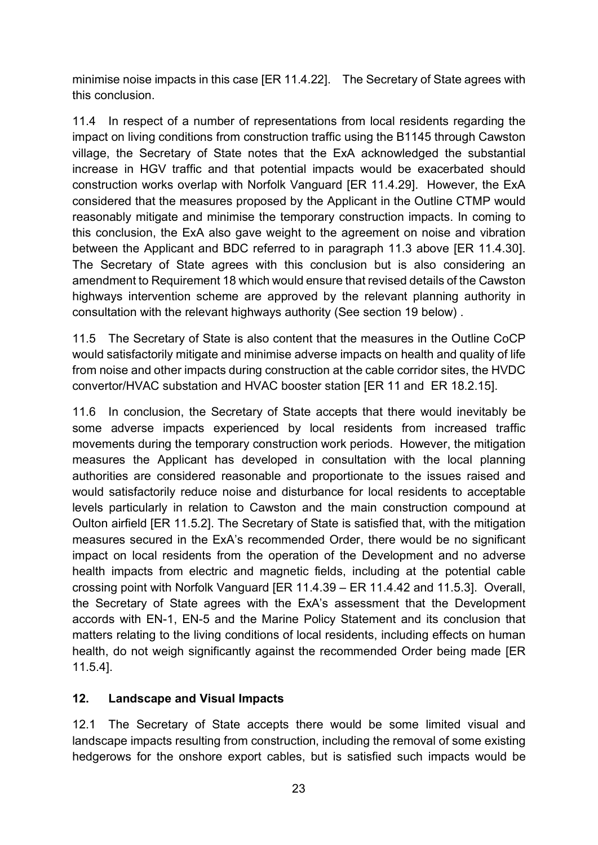minimise noise impacts in this case [ER 11.4.22]. The Secretary of State agrees with this conclusion.

11.4 In respect of a number of representations from local residents regarding the impact on living conditions from construction traffic using the B1145 through Cawston village, the Secretary of State notes that the ExA acknowledged the substantial increase in HGV traffic and that potential impacts would be exacerbated should construction works overlap with Norfolk Vanguard [ER 11.4.29]. However, the ExA considered that the measures proposed by the Applicant in the Outline CTMP would reasonably mitigate and minimise the temporary construction impacts. In coming to this conclusion, the ExA also gave weight to the agreement on noise and vibration between the Applicant and BDC referred to in paragraph 11.3 above [ER 11.4.30]. The Secretary of State agrees with this conclusion but is also considering an amendment to Requirement 18 which would ensure that revised details of the Cawston highways intervention scheme are approved by the relevant planning authority in consultation with the relevant highways authority (See section 19 below) .

11.5 The Secretary of State is also content that the measures in the Outline CoCP would satisfactorily mitigate and minimise adverse impacts on health and quality of life from noise and other impacts during construction at the cable corridor sites, the HVDC convertor/HVAC substation and HVAC booster station [ER 11 and ER 18.2.15].

11.6 In conclusion, the Secretary of State accepts that there would inevitably be some adverse impacts experienced by local residents from increased traffic movements during the temporary construction work periods. However, the mitigation measures the Applicant has developed in consultation with the local planning authorities are considered reasonable and proportionate to the issues raised and would satisfactorily reduce noise and disturbance for local residents to acceptable levels particularly in relation to Cawston and the main construction compound at Oulton airfield [ER 11.5.2]. The Secretary of State is satisfied that, with the mitigation measures secured in the ExA's recommended Order, there would be no significant impact on local residents from the operation of the Development and no adverse health impacts from electric and magnetic fields, including at the potential cable crossing point with Norfolk Vanguard [ER 11.4.39 – ER 11.4.42 and 11.5.3]. Overall, the Secretary of State agrees with the ExA's assessment that the Development accords with EN-1, EN-5 and the Marine Policy Statement and its conclusion that matters relating to the living conditions of local residents, including effects on human health, do not weigh significantly against the recommended Order being made [ER 11.5.4].

#### **12. Landscape and Visual Impacts**

12.1 The Secretary of State accepts there would be some limited visual and landscape impacts resulting from construction, including the removal of some existing hedgerows for the onshore export cables, but is satisfied such impacts would be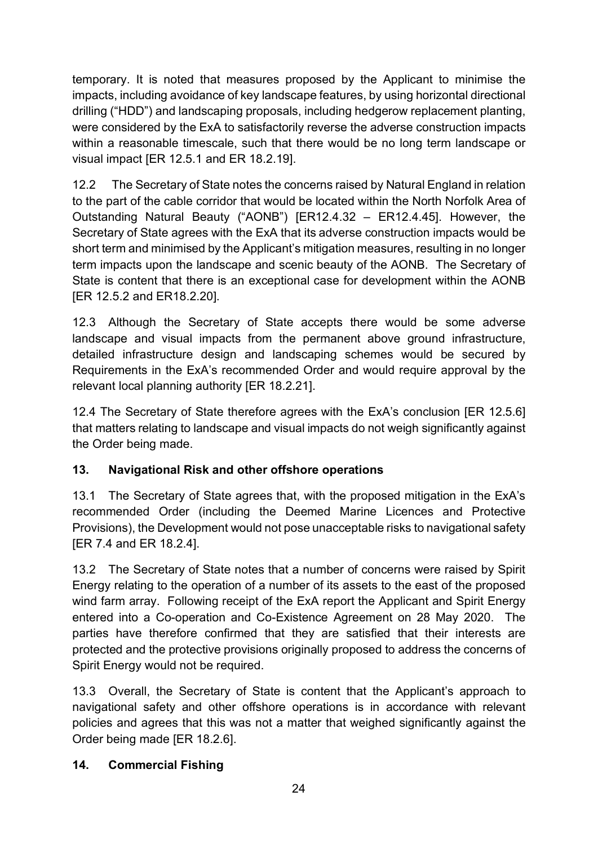temporary. It is noted that measures proposed by the Applicant to minimise the impacts, including avoidance of key landscape features, by using horizontal directional drilling ("HDD") and landscaping proposals, including hedgerow replacement planting, were considered by the ExA to satisfactorily reverse the adverse construction impacts within a reasonable timescale, such that there would be no long term landscape or visual impact [ER 12.5.1 and ER 18.2.19].

12.2 The Secretary of State notes the concerns raised by Natural England in relation to the part of the cable corridor that would be located within the North Norfolk Area of Outstanding Natural Beauty ("AONB") [ER12.4.32 – ER12.4.45]. However, the Secretary of State agrees with the ExA that its adverse construction impacts would be short term and minimised by the Applicant's mitigation measures, resulting in no longer term impacts upon the landscape and scenic beauty of the AONB. The Secretary of State is content that there is an exceptional case for development within the AONB [ER 12.5.2 and ER18.2.20].

12.3 Although the Secretary of State accepts there would be some adverse landscape and visual impacts from the permanent above ground infrastructure, detailed infrastructure design and landscaping schemes would be secured by Requirements in the ExA's recommended Order and would require approval by the relevant local planning authority [ER 18.2.21].

12.4 The Secretary of State therefore agrees with the ExA's conclusion [ER 12.5.6] that matters relating to landscape and visual impacts do not weigh significantly against the Order being made.

# **13. Navigational Risk and other offshore operations**

13.1 The Secretary of State agrees that, with the proposed mitigation in the ExA's recommended Order (including the Deemed Marine Licences and Protective Provisions), the Development would not pose unacceptable risks to navigational safety [ER 7.4 and ER 18.2.4].

13.2 The Secretary of State notes that a number of concerns were raised by Spirit Energy relating to the operation of a number of its assets to the east of the proposed wind farm array. Following receipt of the ExA report the Applicant and Spirit Energy entered into a Co-operation and Co-Existence Agreement on 28 May 2020. The parties have therefore confirmed that they are satisfied that their interests are protected and the protective provisions originally proposed to address the concerns of Spirit Energy would not be required.

13.3 Overall, the Secretary of State is content that the Applicant's approach to navigational safety and other offshore operations is in accordance with relevant policies and agrees that this was not a matter that weighed significantly against the Order being made [ER 18.2.6].

### **14. Commercial Fishing**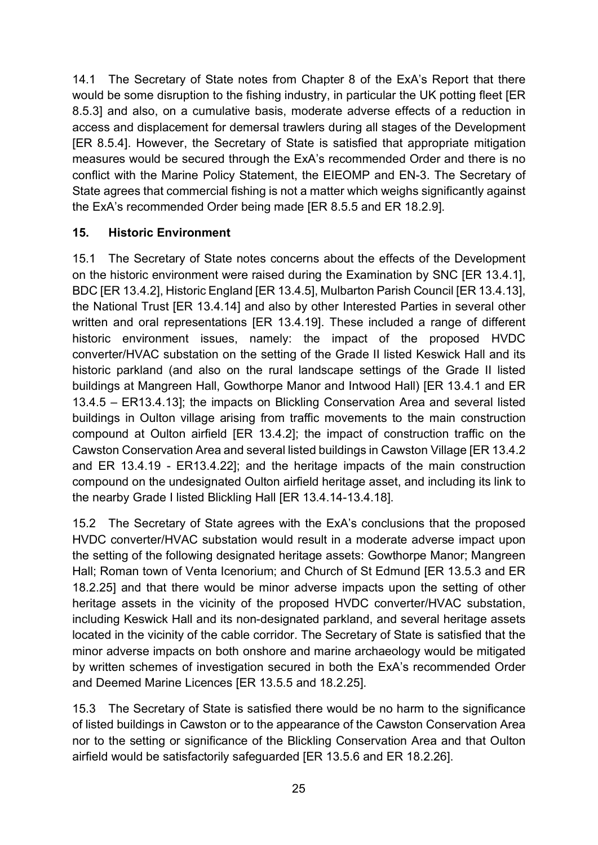14.1 The Secretary of State notes from Chapter 8 of the ExA's Report that there would be some disruption to the fishing industry, in particular the UK potting fleet [ER 8.5.3] and also, on a cumulative basis, moderate adverse effects of a reduction in access and displacement for demersal trawlers during all stages of the Development [ER 8.5.4]. However, the Secretary of State is satisfied that appropriate mitigation measures would be secured through the ExA's recommended Order and there is no conflict with the Marine Policy Statement, the EIEOMP and EN-3. The Secretary of State agrees that commercial fishing is not a matter which weighs significantly against the ExA's recommended Order being made [ER 8.5.5 and ER 18.2.9].

### **15. Historic Environment**

15.1 The Secretary of State notes concerns about the effects of the Development on the historic environment were raised during the Examination by SNC [ER 13.4.1], BDC [ER 13.4.2], Historic England [ER 13.4.5], Mulbarton Parish Council [ER 13.4.13], the National Trust [ER 13.4.14] and also by other Interested Parties in several other written and oral representations [ER 13.4.19]. These included a range of different historic environment issues, namely: the impact of the proposed HVDC converter/HVAC substation on the setting of the Grade II listed Keswick Hall and its historic parkland (and also on the rural landscape settings of the Grade II listed buildings at Mangreen Hall, Gowthorpe Manor and Intwood Hall) [ER 13.4.1 and ER 13.4.5 – ER13.4.13]; the impacts on Blickling Conservation Area and several listed buildings in Oulton village arising from traffic movements to the main construction compound at Oulton airfield [ER 13.4.2]; the impact of construction traffic on the Cawston Conservation Area and several listed buildings in Cawston Village [ER 13.4.2 and ER 13.4.19 - ER13.4.22]; and the heritage impacts of the main construction compound on the undesignated Oulton airfield heritage asset, and including its link to the nearby Grade I listed Blickling Hall [ER 13.4.14-13.4.18].

15.2 The Secretary of State agrees with the ExA's conclusions that the proposed HVDC converter/HVAC substation would result in a moderate adverse impact upon the setting of the following designated heritage assets: Gowthorpe Manor; Mangreen Hall; Roman town of Venta Icenorium; and Church of St Edmund [ER 13.5.3 and ER 18.2.25] and that there would be minor adverse impacts upon the setting of other heritage assets in the vicinity of the proposed HVDC converter/HVAC substation, including Keswick Hall and its non-designated parkland, and several heritage assets located in the vicinity of the cable corridor. The Secretary of State is satisfied that the minor adverse impacts on both onshore and marine archaeology would be mitigated by written schemes of investigation secured in both the ExA's recommended Order and Deemed Marine Licences [ER 13.5.5 and 18.2.25].

15.3 The Secretary of State is satisfied there would be no harm to the significance of listed buildings in Cawston or to the appearance of the Cawston Conservation Area nor to the setting or significance of the Blickling Conservation Area and that Oulton airfield would be satisfactorily safeguarded [ER 13.5.6 and ER 18.2.26].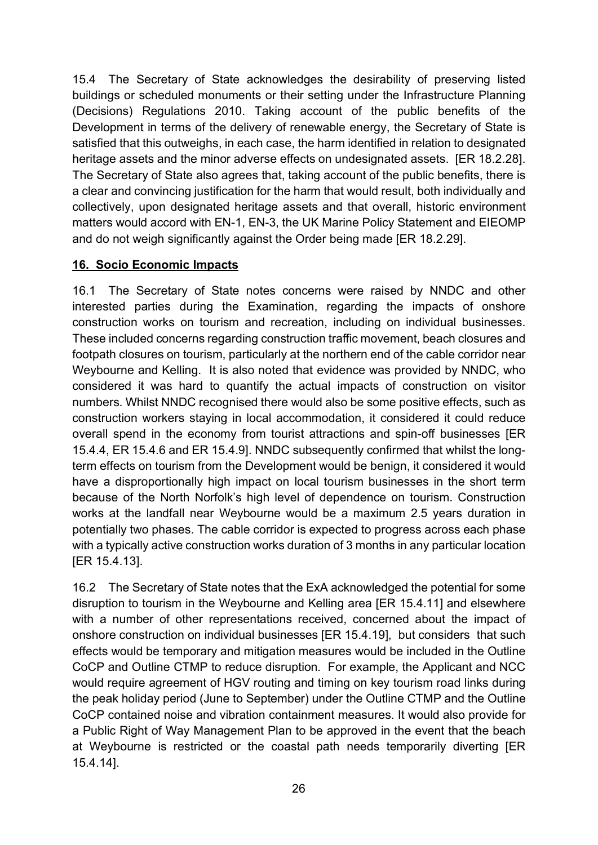15.4 The Secretary of State acknowledges the desirability of preserving listed buildings or scheduled monuments or their setting under the Infrastructure Planning (Decisions) Regulations 2010. Taking account of the public benefits of the Development in terms of the delivery of renewable energy, the Secretary of State is satisfied that this outweighs, in each case, the harm identified in relation to designated heritage assets and the minor adverse effects on undesignated assets. [ER 18.2.28]. The Secretary of State also agrees that, taking account of the public benefits, there is a clear and convincing justification for the harm that would result, both individually and collectively, upon designated heritage assets and that overall, historic environment matters would accord with EN-1, EN-3, the UK Marine Policy Statement and EIEOMP and do not weigh significantly against the Order being made [ER 18.2.29].

#### **16. Socio Economic Impacts**

16.1 The Secretary of State notes concerns were raised by NNDC and other interested parties during the Examination, regarding the impacts of onshore construction works on tourism and recreation, including on individual businesses. These included concerns regarding construction traffic movement, beach closures and footpath closures on tourism, particularly at the northern end of the cable corridor near Weybourne and Kelling. It is also noted that evidence was provided by NNDC, who considered it was hard to quantify the actual impacts of construction on visitor numbers. Whilst NNDC recognised there would also be some positive effects, such as construction workers staying in local accommodation, it considered it could reduce overall spend in the economy from tourist attractions and spin-off businesses [ER 15.4.4, ER 15.4.6 and ER 15.4.9]. NNDC subsequently confirmed that whilst the longterm effects on tourism from the Development would be benign, it considered it would have a disproportionally high impact on local tourism businesses in the short term because of the North Norfolk's high level of dependence on tourism. Construction works at the landfall near Weybourne would be a maximum 2.5 years duration in potentially two phases. The cable corridor is expected to progress across each phase with a typically active construction works duration of 3 months in any particular location [ER 15.4.13].

16.2 The Secretary of State notes that the ExA acknowledged the potential for some disruption to tourism in the Weybourne and Kelling area [ER 15.4.11] and elsewhere with a number of other representations received, concerned about the impact of onshore construction on individual businesses [ER 15.4.19], but considers that such effects would be temporary and mitigation measures would be included in the Outline CoCP and Outline CTMP to reduce disruption. For example, the Applicant and NCC would require agreement of HGV routing and timing on key tourism road links during the peak holiday period (June to September) under the Outline CTMP and the Outline CoCP contained noise and vibration containment measures. It would also provide for a Public Right of Way Management Plan to be approved in the event that the beach at Weybourne is restricted or the coastal path needs temporarily diverting [ER 15.4.14].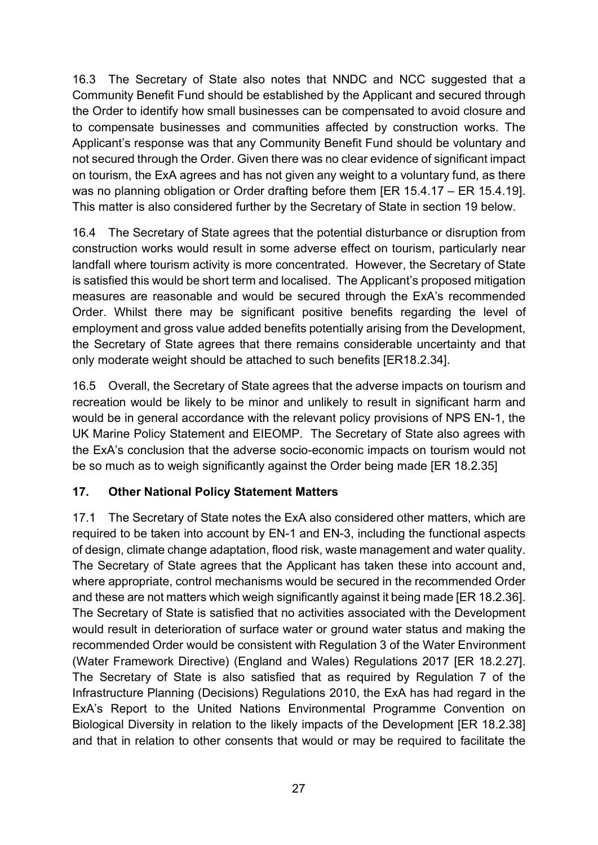16.3 The Secretary of State also notes that NNDC and NCC suggested that a Community Benefit Fund should be established by the Applicant and secured through the Order to identify how small businesses can be compensated to avoid closure and to compensate businesses and communities affected by construction works. The Applicant's response was that any Community Benefit Fund should be voluntary and not secured through the Order. Given there was no clear evidence of significant impact on tourism, the ExA agrees and has not given any weight to a voluntary fund, as there was no planning obligation or Order drafting before them [ER 15.4.17 – ER 15.4.19]. This matter is also considered further by the Secretary of State in section 19 below.

16.4 The Secretary of State agrees that the potential disturbance or disruption from construction works would result in some adverse effect on tourism, particularly near landfall where tourism activity is more concentrated. However, the Secretary of State is satisfied this would be short term and localised. The Applicant's proposed mitigation measures are reasonable and would be secured through the ExA's recommended Order. Whilst there may be significant positive benefits regarding the level of employment and gross value added benefits potentially arising from the Development, the Secretary of State agrees that there remains considerable uncertainty and that only moderate weight should be attached to such benefits [ER18.2.34].

16.5 Overall, the Secretary of State agrees that the adverse impacts on tourism and recreation would be likely to be minor and unlikely to result in significant harm and would be in general accordance with the relevant policy provisions of NPS EN-1, the UK Marine Policy Statement and EIEOMP. The Secretary of State also agrees with the ExA's conclusion that the adverse socio-economic impacts on tourism would not be so much as to weigh significantly against the Order being made [ER 18.2.35]

### **17. Other National Policy Statement Matters**

17.1 The Secretary of State notes the ExA also considered other matters, which are required to be taken into account by EN-1 and EN-3, including the functional aspects of design, climate change adaptation, flood risk, waste management and water quality. The Secretary of State agrees that the Applicant has taken these into account and, where appropriate, control mechanisms would be secured in the recommended Order and these are not matters which weigh significantly against it being made [ER 18.2.36]. The Secretary of State is satisfied that no activities associated with the Development would result in deterioration of surface water or ground water status and making the recommended Order would be consistent with Regulation 3 of the Water Environment (Water Framework Directive) (England and Wales) Regulations 2017 [ER 18.2.27]. The Secretary of State is also satisfied that as required by Regulation 7 of the Infrastructure Planning (Decisions) Regulations 2010, the ExA has had regard in the ExA's Report to the United Nations Environmental Programme Convention on Biological Diversity in relation to the likely impacts of the Development [ER 18.2.38] and that in relation to other consents that would or may be required to facilitate the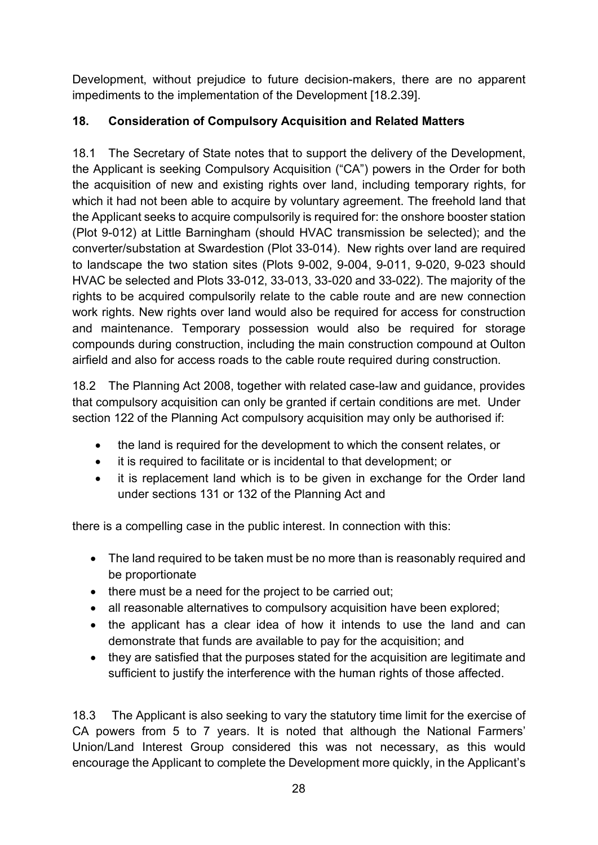Development, without prejudice to future decision-makers, there are no apparent impediments to the implementation of the Development [18.2.39].

# **18. Consideration of Compulsory Acquisition and Related Matters**

18.1 The Secretary of State notes that to support the delivery of the Development, the Applicant is seeking Compulsory Acquisition ("CA") powers in the Order for both the acquisition of new and existing rights over land, including temporary rights, for which it had not been able to acquire by voluntary agreement. The freehold land that the Applicant seeks to acquire compulsorily is required for: the onshore booster station (Plot 9-012) at Little Barningham (should HVAC transmission be selected); and the converter/substation at Swardestion (Plot 33-014). New rights over land are required to landscape the two station sites (Plots 9-002, 9-004, 9-011, 9-020, 9-023 should HVAC be selected and Plots 33-012, 33-013, 33-020 and 33-022). The majority of the rights to be acquired compulsorily relate to the cable route and are new connection work rights. New rights over land would also be required for access for construction and maintenance. Temporary possession would also be required for storage compounds during construction, including the main construction compound at Oulton airfield and also for access roads to the cable route required during construction.

18.2 The Planning Act 2008, together with related case-law and guidance, provides that compulsory acquisition can only be granted if certain conditions are met. Under section 122 of the Planning Act compulsory acquisition may only be authorised if:

- the land is required for the development to which the consent relates, or
- it is required to facilitate or is incidental to that development; or
- it is replacement land which is to be given in exchange for the Order land under sections 131 or 132 of the Planning Act and

there is a compelling case in the public interest. In connection with this:

- The land required to be taken must be no more than is reasonably required and be proportionate
- there must be a need for the project to be carried out;
- all reasonable alternatives to compulsory acquisition have been explored;
- the applicant has a clear idea of how it intends to use the land and can demonstrate that funds are available to pay for the acquisition; and
- they are satisfied that the purposes stated for the acquisition are legitimate and sufficient to justify the interference with the human rights of those affected.

18.3 The Applicant is also seeking to vary the statutory time limit for the exercise of CA powers from 5 to 7 years. It is noted that although the National Farmers' Union/Land Interest Group considered this was not necessary, as this would encourage the Applicant to complete the Development more quickly, in the Applicant's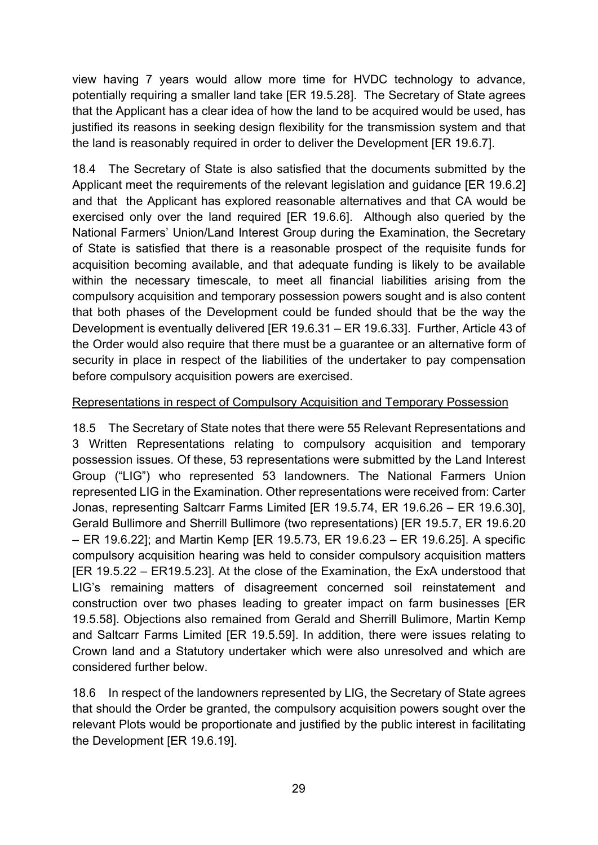view having 7 years would allow more time for HVDC technology to advance, potentially requiring a smaller land take [ER 19.5.28]. The Secretary of State agrees that the Applicant has a clear idea of how the land to be acquired would be used, has justified its reasons in seeking design flexibility for the transmission system and that the land is reasonably required in order to deliver the Development [ER 19.6.7].

18.4 The Secretary of State is also satisfied that the documents submitted by the Applicant meet the requirements of the relevant legislation and guidance [ER 19.6.2] and that the Applicant has explored reasonable alternatives and that CA would be exercised only over the land required [ER 19.6.6]. Although also queried by the National Farmers' Union/Land Interest Group during the Examination, the Secretary of State is satisfied that there is a reasonable prospect of the requisite funds for acquisition becoming available, and that adequate funding is likely to be available within the necessary timescale, to meet all financial liabilities arising from the compulsory acquisition and temporary possession powers sought and is also content that both phases of the Development could be funded should that be the way the Development is eventually delivered [ER 19.6.31 – ER 19.6.33]. Further, Article 43 of the Order would also require that there must be a guarantee or an alternative form of security in place in respect of the liabilities of the undertaker to pay compensation before compulsory acquisition powers are exercised.

#### Representations in respect of Compulsory Acquisition and Temporary Possession

18.5 The Secretary of State notes that there were 55 Relevant Representations and 3 Written Representations relating to compulsory acquisition and temporary possession issues. Of these, 53 representations were submitted by the Land Interest Group ("LIG") who represented 53 landowners. The National Farmers Union represented LIG in the Examination. Other representations were received from: Carter Jonas, representing Saltcarr Farms Limited [ER 19.5.74, ER 19.6.26 – ER 19.6.30], Gerald Bullimore and Sherrill Bullimore (two representations) [ER 19.5.7, ER 19.6.20 – ER 19.6.22]; and Martin Kemp [ER 19.5.73, ER 19.6.23 – ER 19.6.25]. A specific compulsory acquisition hearing was held to consider compulsory acquisition matters [ER 19.5.22 – ER19.5.23]. At the close of the Examination, the ExA understood that LIG's remaining matters of disagreement concerned soil reinstatement and construction over two phases leading to greater impact on farm businesses [ER 19.5.58]. Objections also remained from Gerald and Sherrill Bulimore, Martin Kemp and Saltcarr Farms Limited [ER 19.5.59]. In addition, there were issues relating to Crown land and a Statutory undertaker which were also unresolved and which are considered further below.

18.6 In respect of the landowners represented by LIG, the Secretary of State agrees that should the Order be granted, the compulsory acquisition powers sought over the relevant Plots would be proportionate and justified by the public interest in facilitating the Development [ER 19.6.19].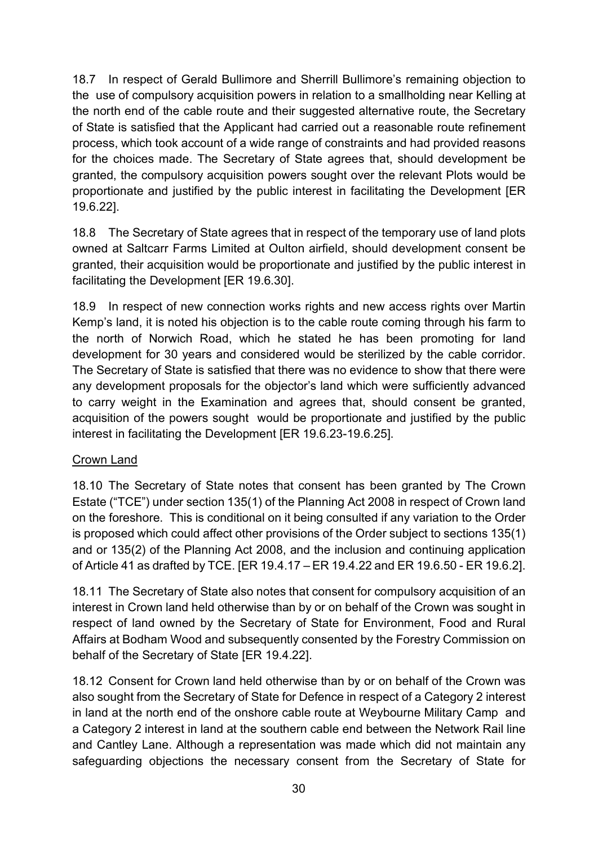18.7 In respect of Gerald Bullimore and Sherrill Bullimore's remaining objection to the use of compulsory acquisition powers in relation to a smallholding near Kelling at the north end of the cable route and their suggested alternative route, the Secretary of State is satisfied that the Applicant had carried out a reasonable route refinement process, which took account of a wide range of constraints and had provided reasons for the choices made. The Secretary of State agrees that, should development be granted, the compulsory acquisition powers sought over the relevant Plots would be proportionate and justified by the public interest in facilitating the Development [ER 19.6.22].

18.8 The Secretary of State agrees that in respect of the temporary use of land plots owned at Saltcarr Farms Limited at Oulton airfield, should development consent be granted, their acquisition would be proportionate and justified by the public interest in facilitating the Development [ER 19.6.30].

18.9 In respect of new connection works rights and new access rights over Martin Kemp's land, it is noted his objection is to the cable route coming through his farm to the north of Norwich Road, which he stated he has been promoting for land development for 30 years and considered would be sterilized by the cable corridor. The Secretary of State is satisfied that there was no evidence to show that there were any development proposals for the objector's land which were sufficiently advanced to carry weight in the Examination and agrees that, should consent be granted, acquisition of the powers sought would be proportionate and justified by the public interest in facilitating the Development [ER 19.6.23-19.6.25].

#### Crown Land

18.10 The Secretary of State notes that consent has been granted by The Crown Estate ("TCE") under section 135(1) of the Planning Act 2008 in respect of Crown land on the foreshore. This is conditional on it being consulted if any variation to the Order is proposed which could affect other provisions of the Order subject to sections 135(1) and or 135(2) of the Planning Act 2008, and the inclusion and continuing application of Article 41 as drafted by TCE. [ER 19.4.17 – ER 19.4.22 and ER 19.6.50 - ER 19.6.2].

18.11 The Secretary of State also notes that consent for compulsory acquisition of an interest in Crown land held otherwise than by or on behalf of the Crown was sought in respect of land owned by the Secretary of State for Environment, Food and Rural Affairs at Bodham Wood and subsequently consented by the Forestry Commission on behalf of the Secretary of State [ER 19.4.22].

18.12 Consent for Crown land held otherwise than by or on behalf of the Crown was also sought from the Secretary of State for Defence in respect of a Category 2 interest in land at the north end of the onshore cable route at Weybourne Military Camp and a Category 2 interest in land at the southern cable end between the Network Rail line and Cantley Lane. Although a representation was made which did not maintain any safeguarding objections the necessary consent from the Secretary of State for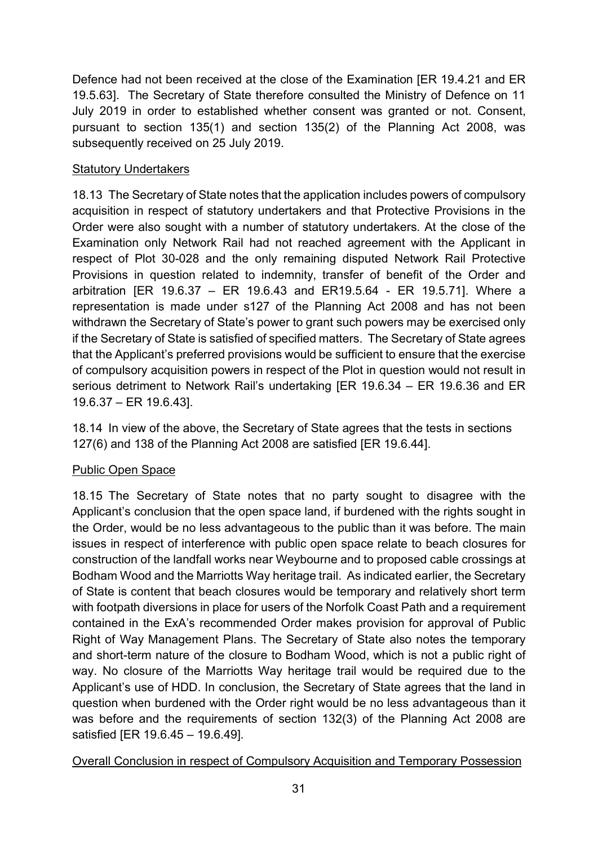Defence had not been received at the close of the Examination [ER 19.4.21 and ER 19.5.63]. The Secretary of State therefore consulted the Ministry of Defence on 11 July 2019 in order to established whether consent was granted or not. Consent, pursuant to section 135(1) and section 135(2) of the Planning Act 2008, was subsequently received on 25 July 2019.

#### Statutory Undertakers

18.13 The Secretary of State notes that the application includes powers of compulsory acquisition in respect of statutory undertakers and that Protective Provisions in the Order were also sought with a number of statutory undertakers. At the close of the Examination only Network Rail had not reached agreement with the Applicant in respect of Plot 30-028 and the only remaining disputed Network Rail Protective Provisions in question related to indemnity, transfer of benefit of the Order and arbitration [ER 19.6.37 – ER 19.6.43 and ER19.5.64 - ER 19.5.71]. Where a representation is made under s127 of the Planning Act 2008 and has not been withdrawn the Secretary of State's power to grant such powers may be exercised only if the Secretary of State is satisfied of specified matters. The Secretary of State agrees that the Applicant's preferred provisions would be sufficient to ensure that the exercise of compulsory acquisition powers in respect of the Plot in question would not result in serious detriment to Network Rail's undertaking [ER 19.6.34 – ER 19.6.36 and ER 19.6.37 – ER 19.6.43].

18.14 In view of the above, the Secretary of State agrees that the tests in sections 127(6) and 138 of the Planning Act 2008 are satisfied [ER 19.6.44].

### Public Open Space

18.15 The Secretary of State notes that no party sought to disagree with the Applicant's conclusion that the open space land, if burdened with the rights sought in the Order, would be no less advantageous to the public than it was before. The main issues in respect of interference with public open space relate to beach closures for construction of the landfall works near Weybourne and to proposed cable crossings at Bodham Wood and the Marriotts Way heritage trail. As indicated earlier, the Secretary of State is content that beach closures would be temporary and relatively short term with footpath diversions in place for users of the Norfolk Coast Path and a requirement contained in the ExA's recommended Order makes provision for approval of Public Right of Way Management Plans. The Secretary of State also notes the temporary and short-term nature of the closure to Bodham Wood, which is not a public right of way. No closure of the Marriotts Way heritage trail would be required due to the Applicant's use of HDD. In conclusion, the Secretary of State agrees that the land in question when burdened with the Order right would be no less advantageous than it was before and the requirements of section 132(3) of the Planning Act 2008 are satisfied [ER 19.6.45 – 19.6.49].

Overall Conclusion in respect of Compulsory Acquisition and Temporary Possession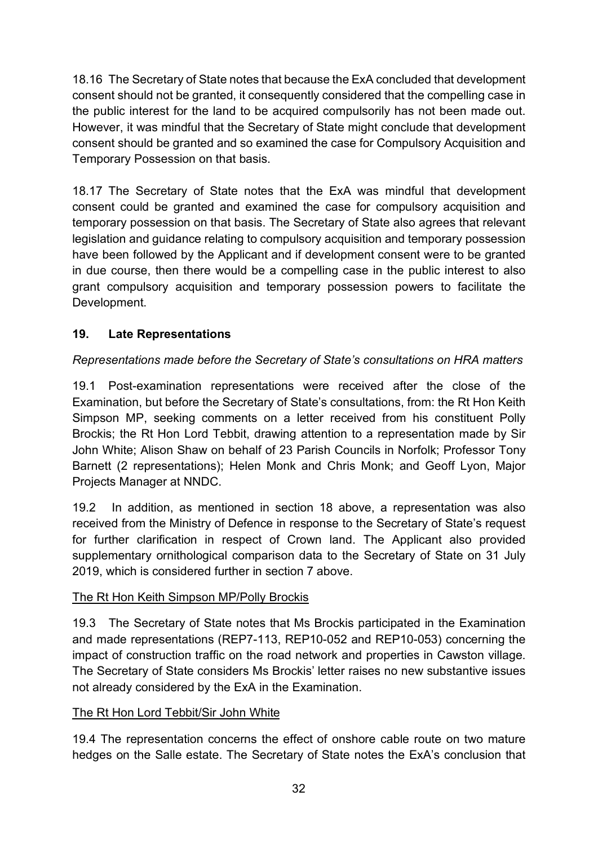18.16 The Secretary of State notes that because the ExA concluded that development consent should not be granted, it consequently considered that the compelling case in the public interest for the land to be acquired compulsorily has not been made out. However, it was mindful that the Secretary of State might conclude that development consent should be granted and so examined the case for Compulsory Acquisition and Temporary Possession on that basis.

18.17 The Secretary of State notes that the ExA was mindful that development consent could be granted and examined the case for compulsory acquisition and temporary possession on that basis. The Secretary of State also agrees that relevant legislation and guidance relating to compulsory acquisition and temporary possession have been followed by the Applicant and if development consent were to be granted in due course, then there would be a compelling case in the public interest to also grant compulsory acquisition and temporary possession powers to facilitate the Development.

# **19. Late Representations**

# *Representations made before the Secretary of State's consultations on HRA matters*

19.1 Post-examination representations were received after the close of the Examination, but before the Secretary of State's consultations, from: the Rt Hon Keith Simpson MP, seeking comments on a letter received from his constituent Polly Brockis; the Rt Hon Lord Tebbit, drawing attention to a representation made by Sir John White; Alison Shaw on behalf of 23 Parish Councils in Norfolk; Professor Tony Barnett (2 representations); Helen Monk and Chris Monk; and Geoff Lyon, Major Projects Manager at NNDC.

19.2 In addition, as mentioned in section 18 above, a representation was also received from the Ministry of Defence in response to the Secretary of State's request for further clarification in respect of Crown land. The Applicant also provided supplementary ornithological comparison data to the Secretary of State on 31 July 2019, which is considered further in section 7 above.

### The Rt Hon Keith Simpson MP/Polly Brockis

19.3 The Secretary of State notes that Ms Brockis participated in the Examination and made representations (REP7-113, REP10-052 and REP10-053) concerning the impact of construction traffic on the road network and properties in Cawston village. The Secretary of State considers Ms Brockis' letter raises no new substantive issues not already considered by the ExA in the Examination.

### The Rt Hon Lord Tebbit/Sir John White

19.4 The representation concerns the effect of onshore cable route on two mature hedges on the Salle estate. The Secretary of State notes the ExA's conclusion that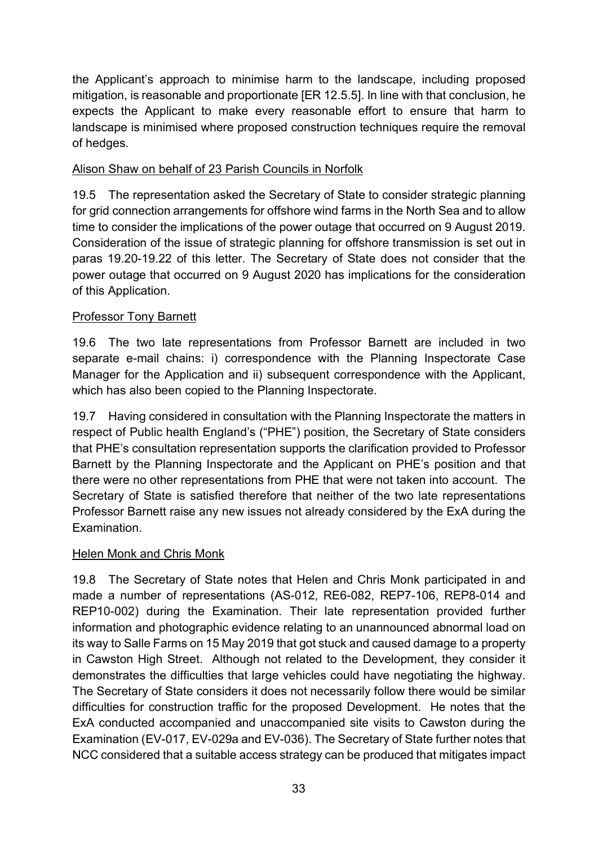the Applicant's approach to minimise harm to the landscape, including proposed mitigation, is reasonable and proportionate [ER 12.5.5]. In line with that conclusion, he expects the Applicant to make every reasonable effort to ensure that harm to landscape is minimised where proposed construction techniques require the removal of hedges.

#### Alison Shaw on behalf of 23 Parish Councils in Norfolk

19.5 The representation asked the Secretary of State to consider strategic planning for grid connection arrangements for offshore wind farms in the North Sea and to allow time to consider the implications of the power outage that occurred on 9 August 2019. Consideration of the issue of strategic planning for offshore transmission is set out in paras 19.20-19.22 of this letter. The Secretary of State does not consider that the power outage that occurred on 9 August 2020 has implications for the consideration of this Application.

#### Professor Tony Barnett

19.6 The two late representations from Professor Barnett are included in two separate e-mail chains: i) correspondence with the Planning Inspectorate Case Manager for the Application and ii) subsequent correspondence with the Applicant, which has also been copied to the Planning Inspectorate.

19.7 Having considered in consultation with the Planning Inspectorate the matters in respect of Public health England's ("PHE") position, the Secretary of State considers that PHE's consultation representation supports the clarification provided to Professor Barnett by the Planning Inspectorate and the Applicant on PHE's position and that there were no other representations from PHE that were not taken into account. The Secretary of State is satisfied therefore that neither of the two late representations Professor Barnett raise any new issues not already considered by the ExA during the Examination.

#### Helen Monk and Chris Monk

19.8 The Secretary of State notes that Helen and Chris Monk participated in and made a number of representations (AS-012, RE6-082, REP7-106, REP8-014 and REP10-002) during the Examination. Their late representation provided further information and photographic evidence relating to an unannounced abnormal load on its way to Salle Farms on 15 May 2019 that got stuck and caused damage to a property in Cawston High Street. Although not related to the Development, they consider it demonstrates the difficulties that large vehicles could have negotiating the highway. The Secretary of State considers it does not necessarily follow there would be similar difficulties for construction traffic for the proposed Development. He notes that the ExA conducted accompanied and unaccompanied site visits to Cawston during the Examination (EV-017, EV-029a and EV-036). The Secretary of State further notes that NCC considered that a suitable access strategy can be produced that mitigates impact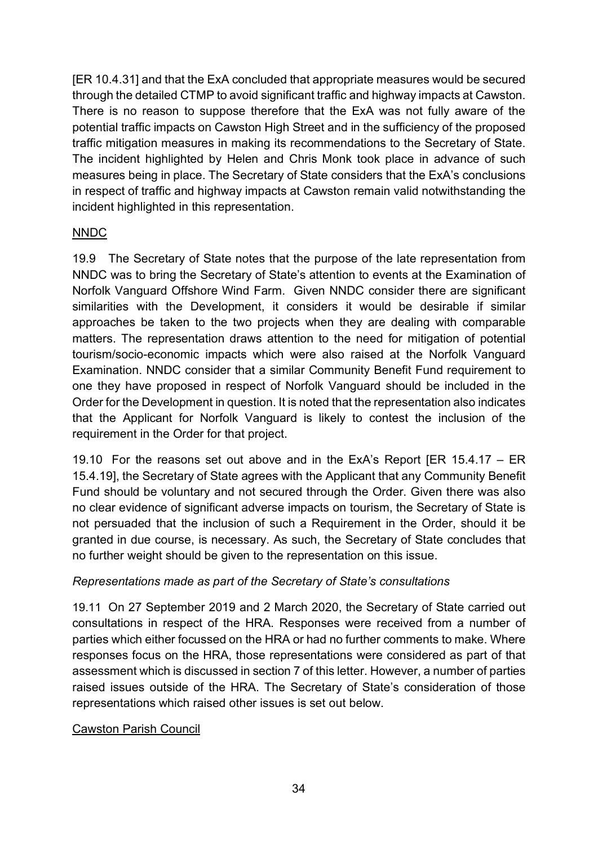[ER 10.4.31] and that the ExA concluded that appropriate measures would be secured through the detailed CTMP to avoid significant traffic and highway impacts at Cawston. There is no reason to suppose therefore that the ExA was not fully aware of the potential traffic impacts on Cawston High Street and in the sufficiency of the proposed traffic mitigation measures in making its recommendations to the Secretary of State. The incident highlighted by Helen and Chris Monk took place in advance of such measures being in place. The Secretary of State considers that the ExA's conclusions in respect of traffic and highway impacts at Cawston remain valid notwithstanding the incident highlighted in this representation.

#### NNDC

19.9 The Secretary of State notes that the purpose of the late representation from NNDC was to bring the Secretary of State's attention to events at the Examination of Norfolk Vanguard Offshore Wind Farm. Given NNDC consider there are significant similarities with the Development, it considers it would be desirable if similar approaches be taken to the two projects when they are dealing with comparable matters. The representation draws attention to the need for mitigation of potential tourism/socio-economic impacts which were also raised at the Norfolk Vanguard Examination. NNDC consider that a similar Community Benefit Fund requirement to one they have proposed in respect of Norfolk Vanguard should be included in the Order for the Development in question. It is noted that the representation also indicates that the Applicant for Norfolk Vanguard is likely to contest the inclusion of the requirement in the Order for that project.

19.10 For the reasons set out above and in the ExA's Report [ER 15.4.17 – ER 15.4.19], the Secretary of State agrees with the Applicant that any Community Benefit Fund should be voluntary and not secured through the Order. Given there was also no clear evidence of significant adverse impacts on tourism, the Secretary of State is not persuaded that the inclusion of such a Requirement in the Order, should it be granted in due course, is necessary. As such, the Secretary of State concludes that no further weight should be given to the representation on this issue.

#### *Representations made as part of the Secretary of State's consultations*

19.11 On 27 September 2019 and 2 March 2020, the Secretary of State carried out consultations in respect of the HRA. Responses were received from a number of parties which either focussed on the HRA or had no further comments to make. Where responses focus on the HRA, those representations were considered as part of that assessment which is discussed in section 7 of this letter. However, a number of parties raised issues outside of the HRA. The Secretary of State's consideration of those representations which raised other issues is set out below.

#### Cawston Parish Council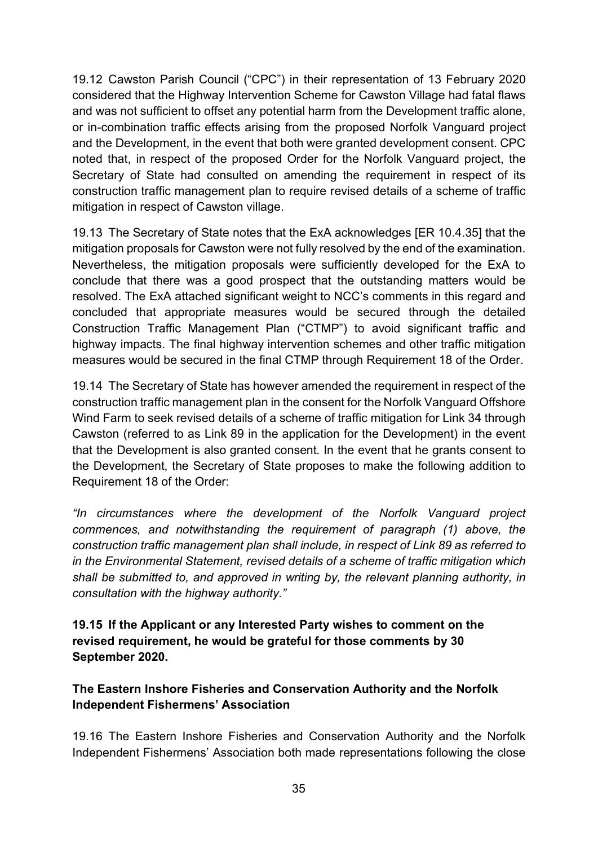19.12 Cawston Parish Council ("CPC") in their representation of 13 February 2020 considered that the Highway Intervention Scheme for Cawston Village had fatal flaws and was not sufficient to offset any potential harm from the Development traffic alone, or in-combination traffic effects arising from the proposed Norfolk Vanguard project and the Development, in the event that both were granted development consent. CPC noted that, in respect of the proposed Order for the Norfolk Vanguard project, the Secretary of State had consulted on amending the requirement in respect of its construction traffic management plan to require revised details of a scheme of traffic mitigation in respect of Cawston village.

19.13 The Secretary of State notes that the ExA acknowledges [ER 10.4.35] that the mitigation proposals for Cawston were not fully resolved by the end of the examination. Nevertheless, the mitigation proposals were sufficiently developed for the ExA to conclude that there was a good prospect that the outstanding matters would be resolved. The ExA attached significant weight to NCC's comments in this regard and concluded that appropriate measures would be secured through the detailed Construction Traffic Management Plan ("CTMP") to avoid significant traffic and highway impacts. The final highway intervention schemes and other traffic mitigation measures would be secured in the final CTMP through Requirement 18 of the Order.

19.14 The Secretary of State has however amended the requirement in respect of the construction traffic management plan in the consent for the Norfolk Vanguard Offshore Wind Farm to seek revised details of a scheme of traffic mitigation for Link 34 through Cawston (referred to as Link 89 in the application for the Development) in the event that the Development is also granted consent. In the event that he grants consent to the Development, the Secretary of State proposes to make the following addition to Requirement 18 of the Order:

*"In circumstances where the development of the Norfolk Vanguard project commences, and notwithstanding the requirement of paragraph (1) above, the construction traffic management plan shall include, in respect of Link 89 as referred to in the Environmental Statement, revised details of a scheme of traffic mitigation which shall be submitted to, and approved in writing by, the relevant planning authority, in consultation with the highway authority."*

**19.15 If the Applicant or any Interested Party wishes to comment on the revised requirement, he would be grateful for those comments by 30 September 2020.**

### **The Eastern Inshore Fisheries and Conservation Authority and the Norfolk Independent Fishermens' Association**

19.16 The Eastern Inshore Fisheries and Conservation Authority and the Norfolk Independent Fishermens' Association both made representations following the close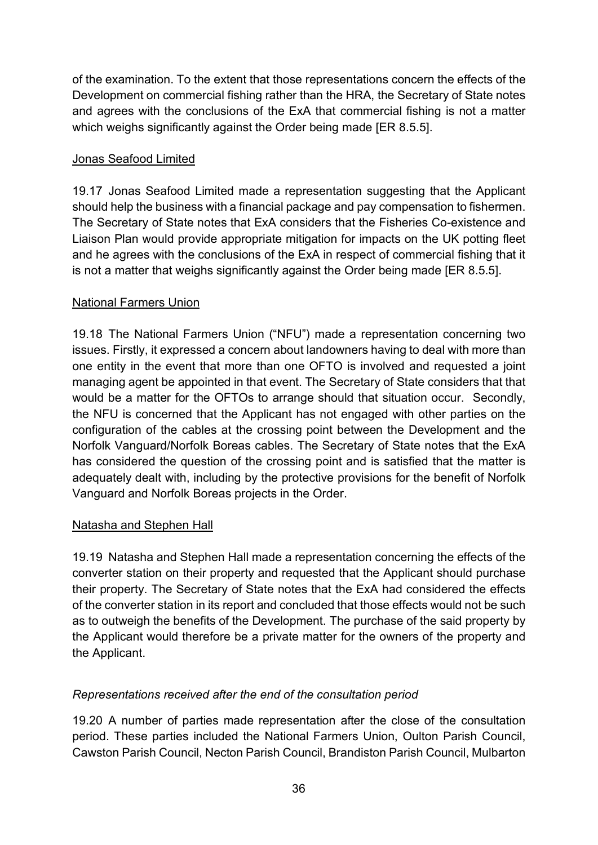of the examination. To the extent that those representations concern the effects of the Development on commercial fishing rather than the HRA, the Secretary of State notes and agrees with the conclusions of the ExA that commercial fishing is not a matter which weighs significantly against the Order being made IER 8.5.5].

#### Jonas Seafood Limited

19.17 Jonas Seafood Limited made a representation suggesting that the Applicant should help the business with a financial package and pay compensation to fishermen. The Secretary of State notes that ExA considers that the Fisheries Co-existence and Liaison Plan would provide appropriate mitigation for impacts on the UK potting fleet and he agrees with the conclusions of the ExA in respect of commercial fishing that it is not a matter that weighs significantly against the Order being made [ER 8.5.5].

#### National Farmers Union

19.18 The National Farmers Union ("NFU") made a representation concerning two issues. Firstly, it expressed a concern about landowners having to deal with more than one entity in the event that more than one OFTO is involved and requested a joint managing agent be appointed in that event. The Secretary of State considers that that would be a matter for the OFTOs to arrange should that situation occur. Secondly, the NFU is concerned that the Applicant has not engaged with other parties on the configuration of the cables at the crossing point between the Development and the Norfolk Vanguard/Norfolk Boreas cables. The Secretary of State notes that the ExA has considered the question of the crossing point and is satisfied that the matter is adequately dealt with, including by the protective provisions for the benefit of Norfolk Vanguard and Norfolk Boreas projects in the Order.

#### Natasha and Stephen Hall

19.19 Natasha and Stephen Hall made a representation concerning the effects of the converter station on their property and requested that the Applicant should purchase their property. The Secretary of State notes that the ExA had considered the effects of the converter station in its report and concluded that those effects would not be such as to outweigh the benefits of the Development. The purchase of the said property by the Applicant would therefore be a private matter for the owners of the property and the Applicant.

### *Representations received after the end of the consultation period*

19.20 A number of parties made representation after the close of the consultation period. These parties included the National Farmers Union, Oulton Parish Council, Cawston Parish Council, Necton Parish Council, Brandiston Parish Council, Mulbarton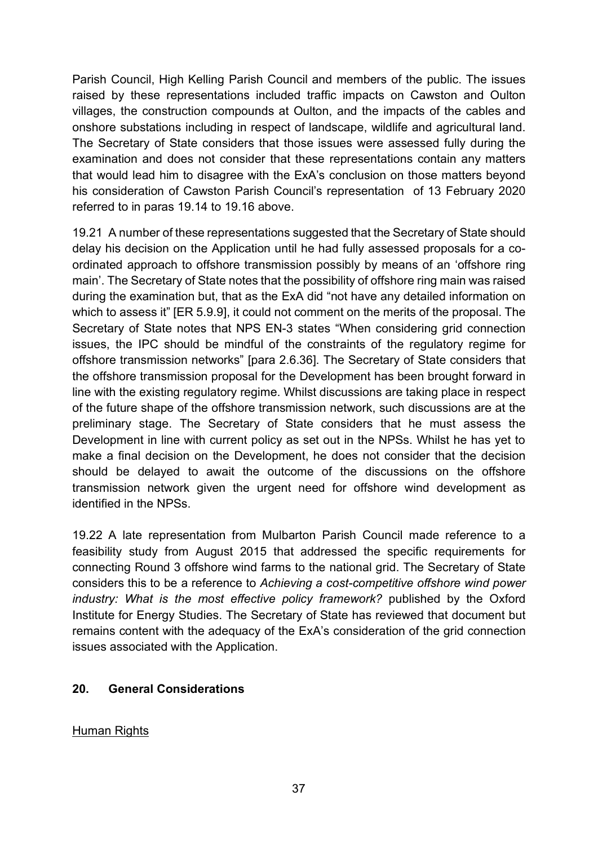Parish Council, High Kelling Parish Council and members of the public. The issues raised by these representations included traffic impacts on Cawston and Oulton villages, the construction compounds at Oulton, and the impacts of the cables and onshore substations including in respect of landscape, wildlife and agricultural land. The Secretary of State considers that those issues were assessed fully during the examination and does not consider that these representations contain any matters that would lead him to disagree with the ExA's conclusion on those matters beyond his consideration of Cawston Parish Council's representation of 13 February 2020 referred to in paras 19.14 to 19.16 above.

19.21 A number of these representations suggested that the Secretary of State should delay his decision on the Application until he had fully assessed proposals for a coordinated approach to offshore transmission possibly by means of an 'offshore ring main'. The Secretary of State notes that the possibility of offshore ring main was raised during the examination but, that as the ExA did "not have any detailed information on which to assess it" [ER 5.9.9], it could not comment on the merits of the proposal. The Secretary of State notes that NPS EN-3 states "When considering grid connection issues, the IPC should be mindful of the constraints of the regulatory regime for offshore transmission networks" [para 2.6.36]. The Secretary of State considers that the offshore transmission proposal for the Development has been brought forward in line with the existing regulatory regime. Whilst discussions are taking place in respect of the future shape of the offshore transmission network, such discussions are at the preliminary stage. The Secretary of State considers that he must assess the Development in line with current policy as set out in the NPSs. Whilst he has yet to make a final decision on the Development, he does not consider that the decision should be delayed to await the outcome of the discussions on the offshore transmission network given the urgent need for offshore wind development as identified in the NPSs.

19.22 A late representation from Mulbarton Parish Council made reference to a feasibility study from August 2015 that addressed the specific requirements for connecting Round 3 offshore wind farms to the national grid. The Secretary of State considers this to be a reference to *Achieving a cost-competitive offshore wind power industry: What is the most effective policy framework?* published by the Oxford Institute for Energy Studies. The Secretary of State has reviewed that document but remains content with the adequacy of the ExA's consideration of the grid connection issues associated with the Application.

#### **20. General Considerations**

#### Human Rights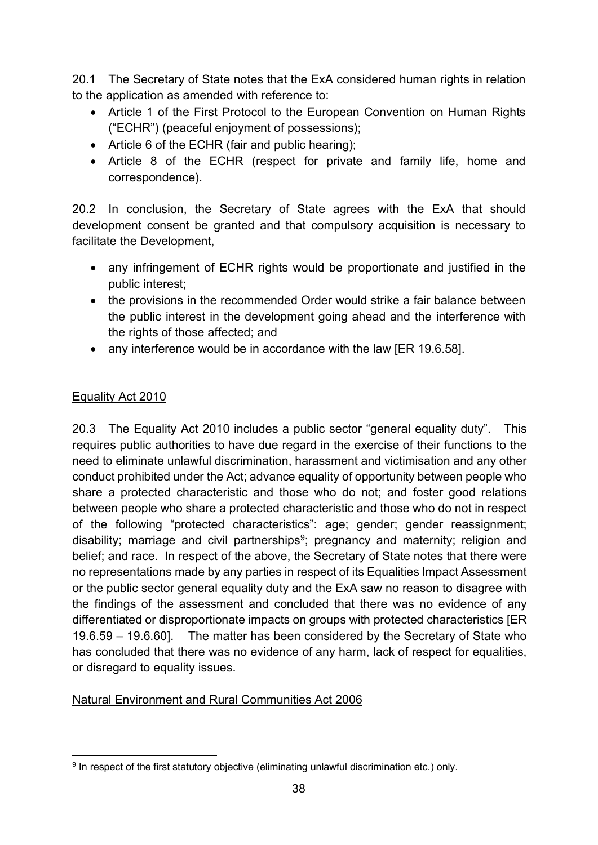20.1 The Secretary of State notes that the ExA considered human rights in relation to the application as amended with reference to:

- Article 1 of the First Protocol to the European Convention on Human Rights ("ECHR") (peaceful enjoyment of possessions);
- Article 6 of the ECHR (fair and public hearing);
- Article 8 of the ECHR (respect for private and family life, home and correspondence).

20.2 In conclusion, the Secretary of State agrees with the ExA that should development consent be granted and that compulsory acquisition is necessary to facilitate the Development,

- any infringement of ECHR rights would be proportionate and justified in the public interest;
- the provisions in the recommended Order would strike a fair balance between the public interest in the development going ahead and the interference with the rights of those affected; and
- any interference would be in accordance with the law IER 19.6.581.

#### Equality Act 2010

20.3 The Equality Act 2010 includes a public sector "general equality duty". This requires public authorities to have due regard in the exercise of their functions to the need to eliminate unlawful discrimination, harassment and victimisation and any other conduct prohibited under the Act; advance equality of opportunity between people who share a protected characteristic and those who do not; and foster good relations between people who share a protected characteristic and those who do not in respect of the following "protected characteristics": age; gender; gender reassignment; disability; marriage and civil partnerships<sup>9</sup>; pregnancy and maternity; religion and belief; and race. In respect of the above, the Secretary of State notes that there were no representations made by any parties in respect of its Equalities Impact Assessment or the public sector general equality duty and the ExA saw no reason to disagree with the findings of the assessment and concluded that there was no evidence of any differentiated or disproportionate impacts on groups with protected characteristics [ER 19.6.59 – 19.6.60]. The matter has been considered by the Secretary of State who has concluded that there was no evidence of any harm, lack of respect for equalities, or disregard to equality issues.

#### Natural Environment and Rural Communities Act 2006

<span id="page-37-0"></span><sup>&</sup>lt;sup>9</sup> In respect of the first statutory objective (eliminating unlawful discrimination etc.) only.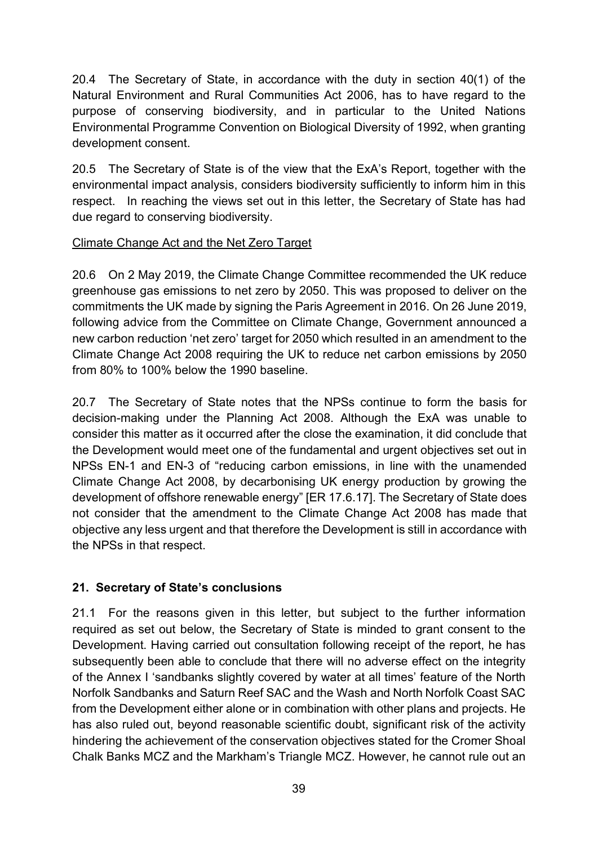20.4 The Secretary of State, in accordance with the duty in section 40(1) of the Natural Environment and Rural Communities Act 2006, has to have regard to the purpose of conserving biodiversity, and in particular to the United Nations Environmental Programme Convention on Biological Diversity of 1992, when granting development consent.

20.5 The Secretary of State is of the view that the ExA's Report, together with the environmental impact analysis, considers biodiversity sufficiently to inform him in this respect. In reaching the views set out in this letter, the Secretary of State has had due regard to conserving biodiversity.

#### Climate Change Act and the Net Zero Target

20.6 On 2 May 2019, the Climate Change Committee recommended the UK reduce greenhouse gas emissions to net zero by 2050. This was proposed to deliver on the commitments the UK made by signing the Paris Agreement in 2016. On 26 June 2019, following advice from the Committee on Climate Change, Government announced a new carbon reduction 'net zero' target for 2050 which resulted in an amendment to the Climate Change Act 2008 requiring the UK to reduce net carbon emissions by 2050 from 80% to 100% below the 1990 baseline.

20.7 The Secretary of State notes that the NPSs continue to form the basis for decision-making under the Planning Act 2008. Although the ExA was unable to consider this matter as it occurred after the close the examination, it did conclude that the Development would meet one of the fundamental and urgent objectives set out in NPSs EN-1 and EN-3 of "reducing carbon emissions, in line with the unamended Climate Change Act 2008, by decarbonising UK energy production by growing the development of offshore renewable energy" [ER 17.6.17]. The Secretary of State does not consider that the amendment to the Climate Change Act 2008 has made that objective any less urgent and that therefore the Development is still in accordance with the NPSs in that respect.

### **21. Secretary of State's conclusions**

21.1 For the reasons given in this letter, but subject to the further information required as set out below, the Secretary of State is minded to grant consent to the Development. Having carried out consultation following receipt of the report, he has subsequently been able to conclude that there will no adverse effect on the integrity of the Annex I 'sandbanks slightly covered by water at all times' feature of the North Norfolk Sandbanks and Saturn Reef SAC and the Wash and North Norfolk Coast SAC from the Development either alone or in combination with other plans and projects. He has also ruled out, beyond reasonable scientific doubt, significant risk of the activity hindering the achievement of the conservation objectives stated for the Cromer Shoal Chalk Banks MCZ and the Markham's Triangle MCZ. However, he cannot rule out an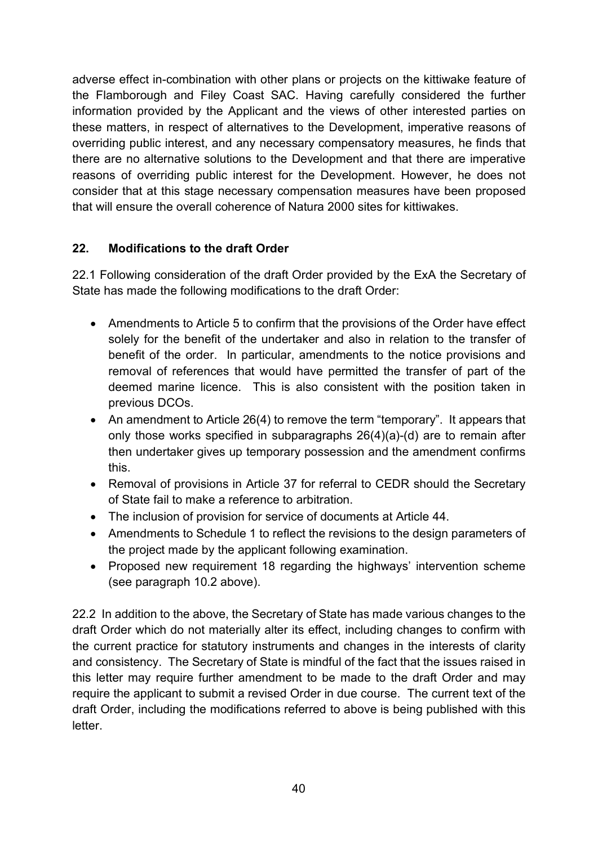adverse effect in-combination with other plans or projects on the kittiwake feature of the Flamborough and Filey Coast SAC. Having carefully considered the further information provided by the Applicant and the views of other interested parties on these matters, in respect of alternatives to the Development, imperative reasons of overriding public interest, and any necessary compensatory measures, he finds that there are no alternative solutions to the Development and that there are imperative reasons of overriding public interest for the Development. However, he does not consider that at this stage necessary compensation measures have been proposed that will ensure the overall coherence of Natura 2000 sites for kittiwakes.

### **22. Modifications to the draft Order**

22.1 Following consideration of the draft Order provided by the ExA the Secretary of State has made the following modifications to the draft Order:

- Amendments to Article 5 to confirm that the provisions of the Order have effect solely for the benefit of the undertaker and also in relation to the transfer of benefit of the order. In particular, amendments to the notice provisions and removal of references that would have permitted the transfer of part of the deemed marine licence. This is also consistent with the position taken in previous DCOs.
- An amendment to Article 26(4) to remove the term "temporary". It appears that only those works specified in subparagraphs 26(4)(a)-(d) are to remain after then undertaker gives up temporary possession and the amendment confirms this.
- Removal of provisions in Article 37 for referral to CEDR should the Secretary of State fail to make a reference to arbitration.
- The inclusion of provision for service of documents at Article 44.
- Amendments to Schedule 1 to reflect the revisions to the design parameters of the project made by the applicant following examination.
- Proposed new requirement 18 regarding the highways' intervention scheme (see paragraph 10.2 above).

22.2 In addition to the above, the Secretary of State has made various changes to the draft Order which do not materially alter its effect, including changes to confirm with the current practice for statutory instruments and changes in the interests of clarity and consistency. The Secretary of State is mindful of the fact that the issues raised in this letter may require further amendment to be made to the draft Order and may require the applicant to submit a revised Order in due course. The current text of the draft Order, including the modifications referred to above is being published with this letter.